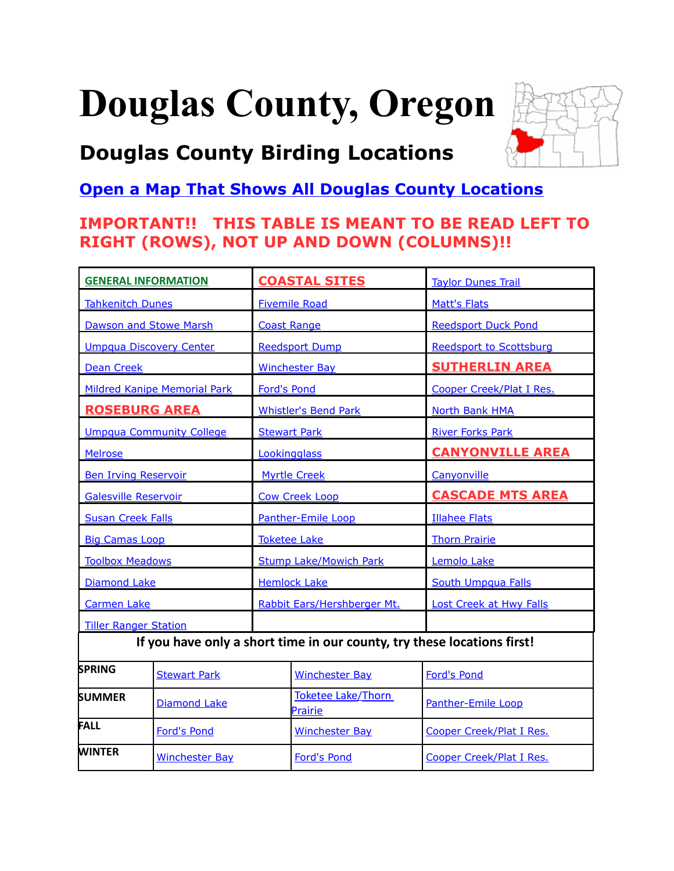# <span id="page-0-0"></span>**Douglas County, Oregon**

# **Douglas County Birding Locations**



### **[Open a Map That Shows All Douglas County Locations](https://www.google.com/maps/d/edit?mid=zVl1oTDALjf4.km-C8LprrFYU&usp=sharing)**

### **IMPORTANT!! THIS TABLE IS MEANT TO BE READ LEFT TO RIGHT (ROWS), NOT UP AND DOWN (COLUMNS)!!**

| <b>GENERAL INFORMATION</b>                                              |                       | <b>COASTAL SITES</b>          |                               | <b>Taylor Dunes Trail</b>      |
|-------------------------------------------------------------------------|-----------------------|-------------------------------|-------------------------------|--------------------------------|
| <b>Tahkenitch Dunes</b>                                                 |                       | <b>Fivemile Road</b>          |                               | <b>Matt's Flats</b>            |
| <b>Dawson and Stowe Marsh</b>                                           |                       | <b>Coast Range</b>            |                               | <b>Reedsport Duck Pond</b>     |
| <b>Umpqua Discovery Center</b>                                          |                       | <b>Reedsport Dump</b>         |                               | <b>Reedsport to Scottsburg</b> |
| <b>Dean Creek</b>                                                       |                       | <b>Winchester Bay</b>         |                               | <b>SUTHERLIN AREA</b>          |
| <b>Mildred Kanipe Memorial Park</b>                                     |                       | <b>Ford's Pond</b>            |                               | Cooper Creek/Plat I Res.       |
| <b>ROSEBURG AREA</b>                                                    |                       | <b>Whistler's Bend Park</b>   |                               | <b>North Bank HMA</b>          |
| <b>Umpqua Community College</b>                                         |                       | <b>Stewart Park</b>           |                               | <b>River Forks Park</b>        |
| <b>Melrose</b>                                                          |                       | Lookingglass                  |                               | <b>CANYONVILLE AREA</b>        |
| <b>Ben Irving Reservoir</b>                                             |                       | <b>Myrtle Creek</b>           |                               | Canyonville                    |
| <b>Galesville Reservoir</b>                                             |                       | <b>Cow Creek Loop</b>         |                               | <b>CASCADE MTS AREA</b>        |
| <b>Susan Creek Falls</b>                                                |                       | Panther-Emile Loop            |                               | <b>Illahee Flats</b>           |
| <b>Big Camas Loop</b>                                                   |                       | <b>Toketee Lake</b>           |                               | <b>Thorn Prairie</b>           |
| <b>Toolbox Meadows</b>                                                  |                       | <b>Stump Lake/Mowich Park</b> |                               | Lemolo Lake                    |
| <b>Diamond Lake</b>                                                     |                       | <b>Hemlock Lake</b>           |                               | <b>South Umpqua Falls</b>      |
| <b>Carmen Lake</b>                                                      |                       | Rabbit Ears/Hershberger Mt.   |                               | <b>Lost Creek at Hwy Falls</b> |
| <b>Tiller Ranger Station</b>                                            |                       |                               |                               |                                |
| If you have only a short time in our county, try these locations first! |                       |                               |                               |                                |
| <b>SPRING</b>                                                           | <b>Stewart Park</b>   |                               | <b>Winchester Bay</b>         | <b>Ford's Pond</b>             |
| <b>SUMMER</b>                                                           | <b>Diamond Lake</b>   |                               | Toketee Lake/Thorn<br>Prairie | Panther-Emile Loop             |
| FALL                                                                    | <b>Ford's Pond</b>    |                               | <b>Winchester Bay</b>         | Cooper Creek/Plat I Res.       |
| WINTER                                                                  | <b>Winchester Bay</b> |                               | <b>Ford's Pond</b>            | Cooper Creek/Plat I Res.       |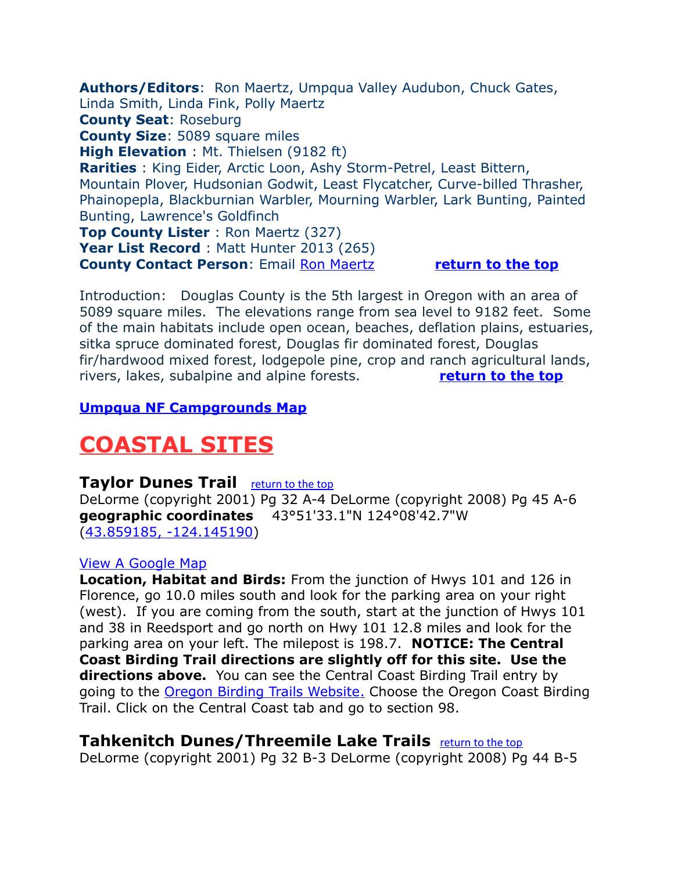<span id="page-1-2"></span>**Authors/Editors**: Ron Maertz, Umpqua Valley Audubon, Chuck Gates, Linda Smith, Linda Fink, Polly Maertz **County Seat**: Roseburg **County Size**: 5089 square miles **High Elevation** : Mt. Thielsen (9182 ft) **Rarities** : King Eider, Arctic Loon, Ashy Storm-Petrel, Least Bittern, Mountain Plover, Hudsonian Godwit, Least Flycatcher, Curve-billed Thrasher, Phainopepla, Blackburnian Warbler, Mourning Warbler, Lark Bunting, Painted Bunting, Lawrence's Goldfinch **Top County Lister** : Ron Maertz (327) Year List Record : Matt Hunter 2013 (265) **County Contact Person**: Email [Ron Maertz](mailto:hadada@centurytel.net) **[return to the top](#page-0-0)**

Introduction: Douglas County is the 5th largest in Oregon with an area of 5089 square miles. The elevations range from sea level to 9182 feet. Some of the main habitats include open ocean, beaches, deflation plains, estuaries, sitka spruce dominated forest, Douglas fir dominated forest, Douglas fir/hardwood mixed forest, lodgepole pine, crop and ranch agricultural lands, rivers, lakes, subalpine and alpine forests. **[return to the top](#page-0-0)**

### **[Umpqua NF Campgrounds Map](http://www.fs.fed.us/r6/umpqua/recreation/camping/campground-map.shtml)**

### **COASTAL SITES**

### <span id="page-1-1"></span>**Taylor Dunes Trail** [return to the top](#page-0-0)

DeLorme (copyright 2001) Pg 32 A-4 DeLorme (copyright 2008) Pg 45 A-6 **geographic coordinates** 43°51'33.1"N 124°08'42.7"W [\(43.859185, -124.145190\)](https://www.google.com/maps/place/43%C2%B051)

### [View A Google Map](http://maps.google.com/maps/ms?hl=en&ie=UTF8&msa=0&msid=108036481085398338899.00046b7af04bc66c728a6&ll=44.013559,-124.07547&spn=0.848373,2.108002&z=10)

**Location, Habitat and Birds:** From the junction of Hwys 101 and 126 in Florence, go 10.0 miles south and look for the parking area on your right (west). If you are coming from the south, start at the junction of Hwys 101 and 38 in Reedsport and go north on Hwy 101 12.8 miles and look for the parking area on your left. The milepost is 198.7. **NOTICE: The Central Coast Birding Trail directions are slightly off for this site. Use the directions above.** You can see the Central Coast Birding Trail entry by going to the [Oregon Birding Trails Website.](http://www.oregonbirdingtrails.org/) Choose the Oregon Coast Birding Trail. Click on the Central Coast tab and go to section 98.

### <span id="page-1-0"></span>**Tahkenitch Dunes/Threemile Lake Trails** [return to the top](#page-0-0)

DeLorme (copyright 2001) Pg 32 B-3 DeLorme (copyright 2008) Pg 44 B-5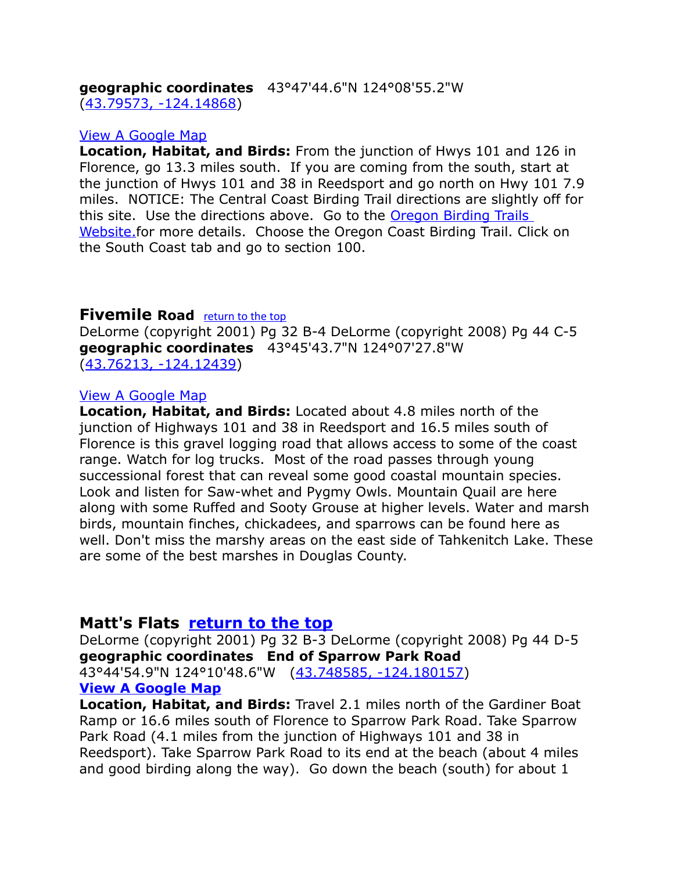**geographic coordinates** 43°47'44.6"N 124°08'55.2"W [\(43.79573, -124.14868\)](https://www.google.com/maps/place/43%C2%B047)

### [View A Google Map](http://maps.google.com/maps/ms?ie=UTF8&hl=en&msa=0&ll=43.741336,-124.08062&spn=0.169163,0.277405&z=11&msid=108036481085398338899.00046b5054d4574c1a7dd)

**Location, Habitat, and Birds:** From the junction of Hwys 101 and 126 in Florence, go 13.3 miles south. If you are coming from the south, start at the junction of Hwys 101 and 38 in Reedsport and go north on Hwy 101 7.9 miles. NOTICE: The Central Coast Birding Trail directions are slightly off for this site. Use the directions above. Go to the [Oregon Birding Trails](http://www.oregonbirdingtrails.org/)  Website.for more details. Choose the Oregon Coast Birding Trail. Click on the South Coast tab and go to section 100.

### <span id="page-2-1"></span>**Fivemile Road** [return to the top](#page-0-0)

DeLorme (copyright 2001) Pg 32 B-4 DeLorme (copyright 2008) Pg 44 C-5 **geographic coordinates** 43°45'43.7"N 124°07'27.8"W [\(43.76213, -124.12439\)](https://www.google.com/maps/place/43%C2%B045)

### [View A Google Map](http://maps.google.com/maps/ms?hl=en&ie=UTF8&msa=0&msid=108036481085398338899.0004727413eb83b25fbbc&ll=43.730174,-124.113579&spn=0.169939,0.349846&z=12)

**Location, Habitat, and Birds:** Located about 4.8 miles north of the junction of Highways 101 and 38 in Reedsport and 16.5 miles south of Florence is this gravel logging road that allows access to some of the coast range. Watch for log trucks. Most of the road passes through young successional forest that can reveal some good coastal mountain species. Look and listen for Saw-whet and Pygmy Owls. Mountain Quail are here along with some Ruffed and Sooty Grouse at higher levels. Water and marsh birds, mountain finches, chickadees, and sparrows can be found here as well. Don't miss the marshy areas on the east side of Tahkenitch Lake. These are some of the best marshes in Douglas County.

### <span id="page-2-0"></span>**Matt's Flats [return to the top](#page-0-0)**

DeLorme (copyright 2001) Pg 32 B-3 DeLorme (copyright 2008) Pg 44 D-5 **geographic coordinates End of Sparrow Park Road**  43°44'54.9"N 124°10'48.6"W [\(43.748585, -124.180157\)](https://www.google.com/maps/place/43%C2%B044) **[View A Google Map](http://maps.google.com/maps/ms?hl=en&ie=UTF8&msa=0&msid=108036481085398338899.0004727413eb83b25fbbc&ll=43.730174,-124.113579&spn=0.169939,0.349846&z=12)**

**Location, Habitat, and Birds:** Travel 2.1 miles north of the Gardiner Boat Ramp or 16.6 miles south of Florence to Sparrow Park Road. Take Sparrow Park Road (4.1 miles from the junction of Highways 101 and 38 in Reedsport). Take Sparrow Park Road to its end at the beach (about 4 miles and good birding along the way). Go down the beach (south) for about 1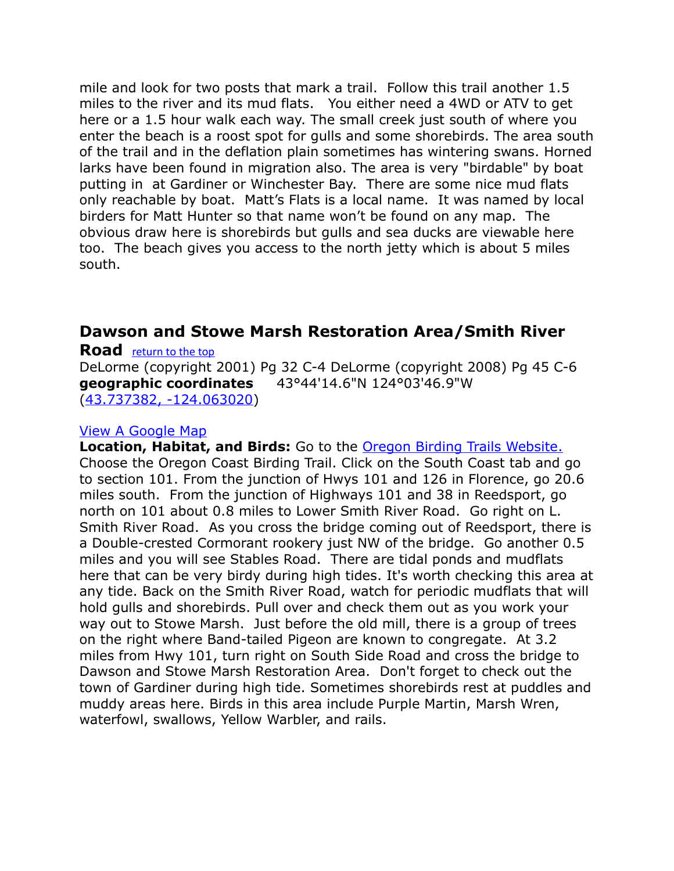mile and look for two posts that mark a trail. Follow this trail another 1.5 miles to the river and its mud flats. You either need a 4WD or ATV to get here or a 1.5 hour walk each way. The small creek just south of where you enter the beach is a roost spot for gulls and some shorebirds. The area south of the trail and in the deflation plain sometimes has wintering swans. Horned larks have been found in migration also. The area is very "birdable" by boat putting in at Gardiner or Winchester Bay. There are some nice mud flats only reachable by boat. Matt's Flats is a local name. It was named by local birders for Matt Hunter so that name won't be found on any map. The obvious draw here is shorebirds but gulls and sea ducks are viewable here too. The beach gives you access to the north jetty which is about 5 miles south.

### <span id="page-3-0"></span>**Dawson and Stowe Marsh Restoration Area/Smith River**

**Road** [return to the top](#page-0-0) DeLorme (copyright 2001) Pg 32 C-4 DeLorme (copyright 2008) Pg 45 C-6 **geographic coordinates** 43°44'14.6"N 124°03'46.9"W [\(43.737382, -124.063020\)](https://www.google.com/maps/place/43%C2%B044)

### [View A Google Map](http://maps.google.com/maps/ms?ie=UTF8&hl=en&msa=0&ll=43.741336,-124.08062&spn=0.169163,0.277405&z=11&msid=108036481085398338899.00046b5054d4574c1a7dd)

**Location, Habitat, and Birds:** Go to the [Oregon Birding Trails Website.](http://www.oregonbirdingtrails.org/) Choose the Oregon Coast Birding Trail. Click on the South Coast tab and go to section 101. From the junction of Hwys 101 and 126 in Florence, go 20.6 miles south. From the junction of Highways 101 and 38 in Reedsport, go north on 101 about 0.8 miles to Lower Smith River Road. Go right on L. Smith River Road. As you cross the bridge coming out of Reedsport, there is a Double-crested Cormorant rookery just NW of the bridge. Go another 0.5 miles and you will see Stables Road. There are tidal ponds and mudflats here that can be very birdy during high tides. It's worth checking this area at any tide. Back on the Smith River Road, watch for periodic mudflats that will hold gulls and shorebirds. Pull over and check them out as you work your way out to Stowe Marsh. Just before the old mill, there is a group of trees on the right where Band-tailed Pigeon are known to congregate. At 3.2 miles from Hwy 101, turn right on South Side Road and cross the bridge to Dawson and Stowe Marsh Restoration Area. Don't forget to check out the town of Gardiner during high tide. Sometimes shorebirds rest at puddles and muddy areas here. Birds in this area include Purple Martin, Marsh Wren, waterfowl, swallows, Yellow Warbler, and rails.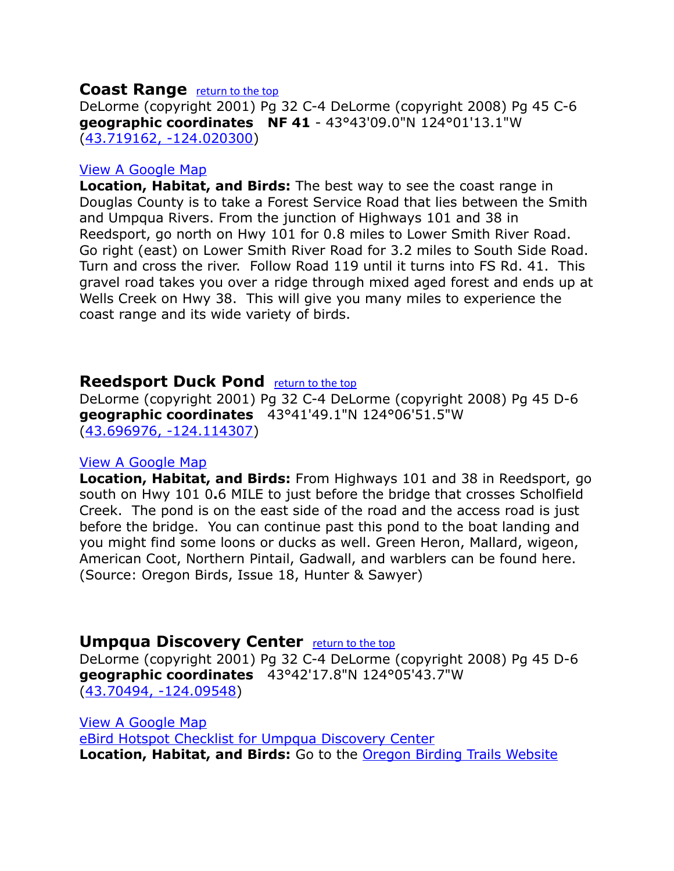### <span id="page-4-2"></span>**Coast Range <u>[return to the top](#page-0-0)</u>**

DeLorme (copyright 2001) Pg 32 C-4 DeLorme (copyright 2008) Pg 45 C-6 **geographic coordinates NF 41** - 43°43'09.0"N 124°01'13.1"W [\(43.719162, -124.020300\)](https://www.google.com/maps/place/43%C2%B043)

### [View A Google Map](http://maps.google.com/maps/ms?ie=UTF8&hl=en&msa=0&ll=43.741336,-124.08062&spn=0.169163,0.277405&z=11&msid=108036481085398338899.00046b5054d4574c1a7dd)

**Location, Habitat, and Birds:** The best way to see the coast range in Douglas County is to take a Forest Service Road that lies between the Smith and Umpqua Rivers. From the junction of Highways 101 and 38 in Reedsport, go north on Hwy 101 for 0.8 miles to Lower Smith River Road. Go right (east) on Lower Smith River Road for 3.2 miles to South Side Road. Turn and cross the river. Follow Road 119 until it turns into FS Rd. 41. This gravel road takes you over a ridge through mixed aged forest and ends up at Wells Creek on Hwy 38. This will give you many miles to experience the coast range and its wide variety of birds.

### <span id="page-4-1"></span>**Reedsport Duck Pond [return to the top](#page-0-0)**

DeLorme (copyright 2001) Pg 32 C-4 DeLorme (copyright 2008) Pg 45 D-6 **geographic coordinates** 43°41'49.1"N 124°06'51.5"W [\(43.696976, -124.114307\)](https://www.google.com/maps/place/43%C2%B041)

### [View A Google Map](http://maps.google.com/maps/ms?hl=en&ie=UTF8&msa=0&msid=108036481085398338899.0004727413eb83b25fbbc&ll=43.730174,-124.113579&spn=0.169939,0.349846&z=12)

**Location, Habitat, and Birds:** From Highways 101 and 38 in Reedsport, go south on Hwy 101 0**.**6 MILE to just before the bridge that crosses Scholfield Creek. The pond is on the east side of the road and the access road is just before the bridge. You can continue past this pond to the boat landing and you might find some loons or ducks as well. Green Heron, Mallard, wigeon, American Coot, Northern Pintail, Gadwall, and warblers can be found here. (Source: Oregon Birds, Issue 18, Hunter & Sawyer)

### <span id="page-4-0"></span>**Umpqua Discovery Center** *[return to the top](#page-0-0)*

DeLorme (copyright 2001) Pg 32 C-4 DeLorme (copyright 2008) Pg 45 D-6 **geographic coordinates** 43°42'17.8"N 124°05'43.7"W [\(43.70494, -124.09548\)](https://www.google.com/maps/place/43%C2%B042)

[View A Google Map](http://maps.google.com/maps/ms?ie=UTF8&hl=en&msa=0&ll=43.741336,-124.08062&spn=0.169163,0.277405&z=11&msid=108036481085398338899.00046b5054d4574c1a7dd) [eBird Hotspot Checklist for Umpqua Discovery Center](http://ebird.org/ebird/hotspot/L1654505) **Location, Habitat, and Birds:** Go to the [Oregon Birding Trails Website](http://www.oregonbirdingtrails.org/)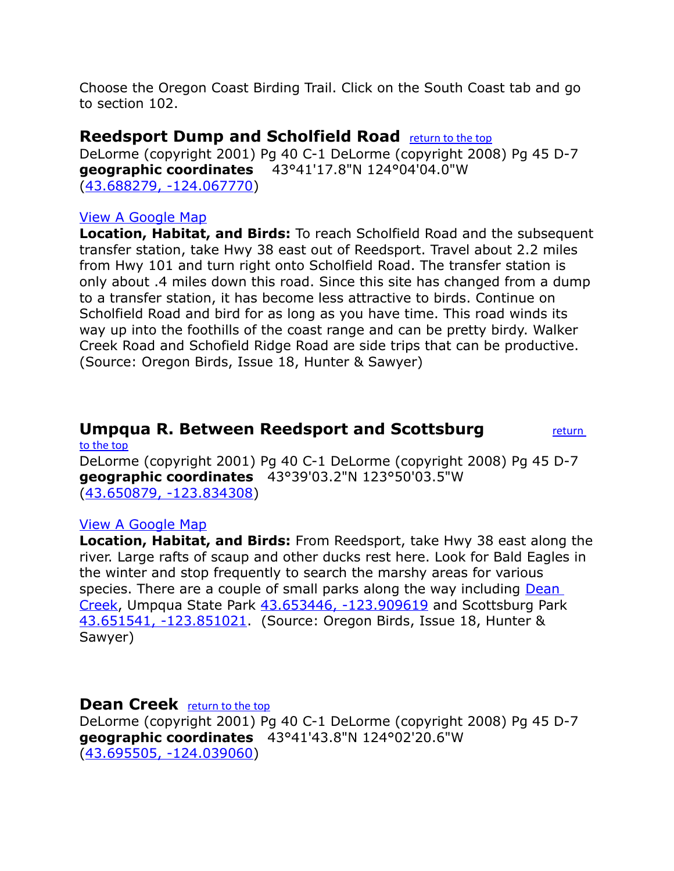Choose the Oregon Coast Birding Trail. Click on the South Coast tab and go to section 102.

### <span id="page-5-2"></span>**Reedsport Dump and Scholfield Road** [return to the top](#page-0-0)

DeLorme (copyright 2001) Pg 40 C-1 DeLorme (copyright 2008) Pg 45 D-7 **geographic coordinates** 43°41'17.8"N 124°04'04.0"W [\(43.688279, -124.067770\)](https://www.google.com/maps/place/43%C2%B041)

### [View A Google Map](http://maps.google.com/maps/ms?hl=en&ie=UTF8&msa=0&msid=108036481085398338899.0004727413eb83b25fbbc&ll=43.730174,-124.113579&spn=0.169939,0.349846&z=12)

**Location, Habitat, and Birds:** To reach Scholfield Road and the subsequent transfer station, take Hwy 38 east out of Reedsport. Travel about 2.2 miles from Hwy 101 and turn right onto Scholfield Road. The transfer station is only about .4 miles down this road. Since this site has changed from a dump to a transfer station, it has become less attractive to birds. Continue on Scholfield Road and bird for as long as you have time. This road winds its way up into the foothills of the coast range and can be pretty birdy. Walker Creek Road and Schofield Ridge Road are side trips that can be productive. (Source: Oregon Birds, Issue 18, Hunter & Sawyer)

### <span id="page-5-1"></span>**Umpqua R. Between Reedsport and Scottsburg <b>***return*

DeLorme (copyright 2001) Pg 40 C-1 DeLorme (copyright 2008) Pg 45 D-7 **geographic coordinates** 43°39'03.2"N 123°50'03.5"W [\(43.650879, -123.834308\)](https://www.google.com/maps/place/43%C2%B039)

### [View A Google Map](http://maps.google.com/maps/ms?hl=en&ie=UTF8&msa=0&msid=108036481085398338899.0004727413eb83b25fbbc&ll=43.730174,-124.113579&spn=0.169939,0.349846&z=12)

[to the top](#page-0-0)

**Location, Habitat, and Birds:** From Reedsport, take Hwy 38 east along the river. Large rafts of scaup and other ducks rest here. Look for Bald Eagles in the winter and stop frequently to search the marshy areas for various species. There are a couple of small parks along the way including Dean [Creek,](#page-5-0) Umpqua State Park [43.653446, -123.909619](https://www.google.com/maps/place/43%C2%B039) and Scottsburg Park [43.651541, -123.851021.](https://www.google.com/maps/place/43%C2%B039) (Source: Oregon Birds, Issue 18, Hunter & Sawyer)

### <span id="page-5-0"></span>**Dean Creek** [return to the top](#page-0-0)

DeLorme (copyright 2001) Pg 40 C-1 DeLorme (copyright 2008) Pg 45 D-7 **geographic coordinates** 43°41'43.8"N 124°02'20.6"W [\(43.695505, -124.039060\)](https://www.google.com/maps/place/43%C2%B041)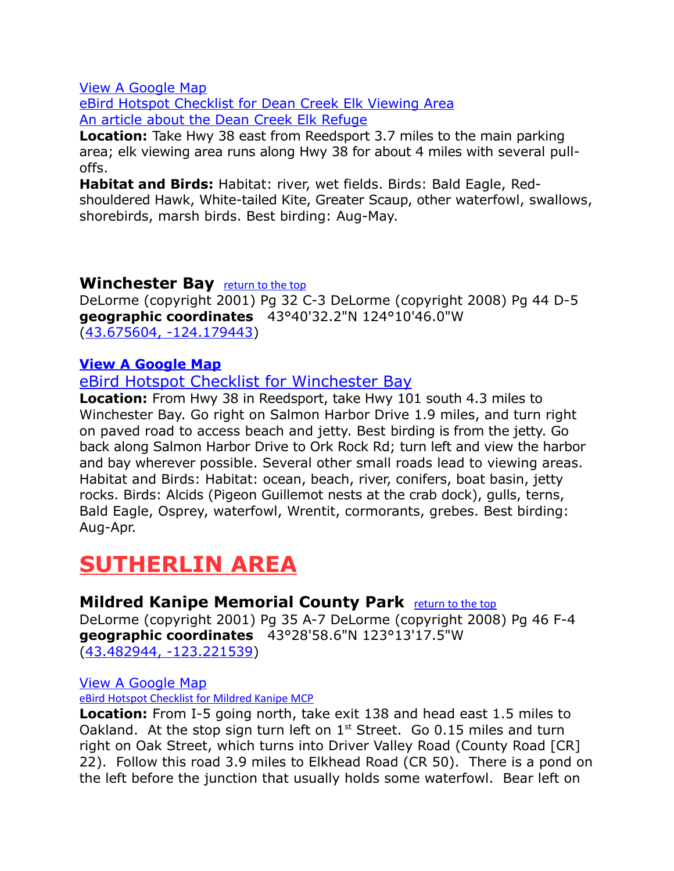[eBird Hotspot Checklist for Dean Creek Elk Viewing Area](http://ebird.org/ebird/hotspot/L622092) [An article about the Dean Creek Elk Refuge](http://www.loonlakerv.com/dean-creek-elk-viewing.html)

**Location:** Take Hwy 38 east from Reedsport 3.7 miles to the main parking area; elk viewing area runs along Hwy 38 for about 4 miles with several pulloffs.

**Habitat and Birds:** Habitat: river, wet fields. Birds: Bald Eagle, Redshouldered Hawk, White-tailed Kite, Greater Scaup, other waterfowl, swallows, shorebirds, marsh birds. Best birding: Aug-May.

### <span id="page-6-0"></span>**Winchester Bay** [return to the top](#page-0-0)

DeLorme (copyright 2001) Pg 32 C-3 DeLorme (copyright 2008) Pg 44 D-5 **geographic coordinates** 43°40'32.2"N 124°10'46.0"W [\(43.675604, -124.179443\)](https://www.google.com/maps/place/43%C2%B040)

### **[View A Google Map](http://maps.google.com/maps/ms?hl=en&ie=UTF8&msa=0&ll=43.691336,-124.061222&spn=0.09843,0.264359&z=13&msid=108036481085398338899.0004687bde272e06181fb)**

### [eBird Hotspot Checklist for Winchester Bay](http://ebird.org/ebird/hotspot/L726174)

**Location:** From Hwy 38 in Reedsport, take Hwy 101 south 4.3 miles to Winchester Bay. Go right on Salmon Harbor Drive 1.9 miles, and turn right on paved road to access beach and jetty. Best birding is from the jetty. Go back along Salmon Harbor Drive to Ork Rock Rd; turn left and view the harbor and bay wherever possible. Several other small roads lead to viewing areas. Habitat and Birds: Habitat: ocean, beach, river, conifers, boat basin, jetty rocks. Birds: Alcids (Pigeon Guillemot nests at the crab dock), gulls, terns, Bald Eagle, Osprey, waterfowl, Wrentit, cormorants, grebes. Best birding: Aug-Apr.

## **SUTHERLIN AREA**

### <span id="page-6-1"></span>**Mildred Kanipe Memorial County Park** [return to the top](#page-0-0)

DeLorme (copyright 2001) Pg 35 A-7 DeLorme (copyright 2008) Pg 46 F-4 **geographic coordinates** 43°28'58.6"N 123°13'17.5"W [\(43.482944, -123.221539\)](https://www.google.com/maps/place/43%C2%B028)

### [View A Google Map](http://maps.google.com/maps/ms?hl=en&ie=UTF8&msa=0&ll=43.302196,-123.358612&spn=0.396263,1.057434&z=11&msid=108036481085398338899.0004687c802d2cfc1f800)

[eBird Hotspot Checklist for Mildred Kanipe MCP](http://ebird.org/ebird/hotspot/L1465764)

**Location:** From I-5 going north, take exit 138 and head east 1.5 miles to Oakland. At the stop sign turn left on  $1<sup>st</sup>$  Street. Go 0.15 miles and turn right on Oak Street, which turns into Driver Valley Road (County Road [CR] 22). Follow this road 3.9 miles to Elkhead Road (CR 50). There is a pond on the left before the junction that usually holds some waterfowl. Bear left on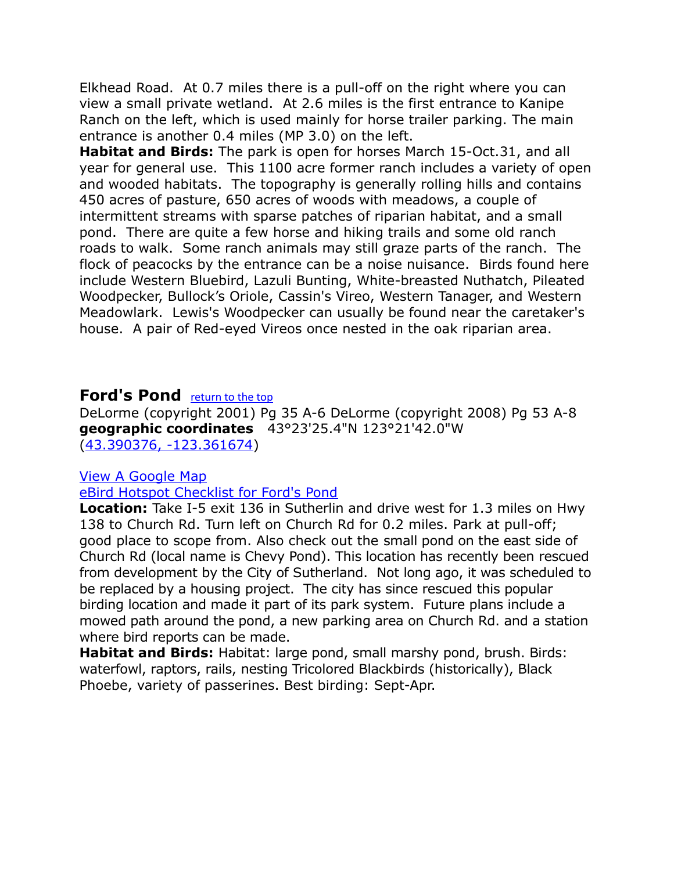Elkhead Road. At 0.7 miles there is a pull-off on the right where you can view a small private wetland. At 2.6 miles is the first entrance to Kanipe Ranch on the left, which is used mainly for horse trailer parking. The main entrance is another 0.4 miles (MP 3.0) on the left.

**Habitat and Birds:** The park is open for horses March 15-Oct.31, and all year for general use. This 1100 acre former ranch includes a variety of open and wooded habitats. The topography is generally rolling hills and contains 450 acres of pasture, 650 acres of woods with meadows, a couple of intermittent streams with sparse patches of riparian habitat, and a small pond. There are quite a few horse and hiking trails and some old ranch roads to walk. Some ranch animals may still graze parts of the ranch. The flock of peacocks by the entrance can be a noise nuisance. Birds found here include Western Bluebird, Lazuli Bunting, White-breasted Nuthatch, Pileated Woodpecker, Bullock's Oriole, Cassin's Vireo, Western Tanager, and Western Meadowlark. Lewis's Woodpecker can usually be found near the caretaker's house. A pair of Red-eyed Vireos once nested in the oak riparian area.

### <span id="page-7-0"></span>**Ford's Pond** [return to the top](#page-0-0)

DeLorme (copyright 2001) Pg 35 A-6 DeLorme (copyright 2008) Pg 53 A-8 **geographic coordinates** 43°23'25.4"N 123°21'42.0"W [\(43.390376, -123.361674\)](https://www.google.com/maps/place/43%C2%B023)

### [View A Google Map](http://maps.google.com/maps/ms?hl=en&ie=UTF8&msa=0&ll=43.302196,-123.358612&spn=0.396263,1.057434&z=11&msid=108036481085398338899.0004687c802d2cfc1f800)

### [eBird Hotspot Checklist for Ford's Pond](http://ebird.org/ebird/hotspot/L1149380)

**Location:** Take I-5 exit 136 in Sutherlin and drive west for 1.3 miles on Hwy 138 to Church Rd. Turn left on Church Rd for 0.2 miles. Park at pull-off; good place to scope from. Also check out the small pond on the east side of Church Rd (local name is Chevy Pond). This location has recently been rescued from development by the City of Sutherland. Not long ago, it was scheduled to be replaced by a housing project. The city has since rescued this popular birding location and made it part of its park system. Future plans include a mowed path around the pond, a new parking area on Church Rd. and a station where bird reports can be made.

**Habitat and Birds:** Habitat: large pond, small marshy pond, brush. Birds: waterfowl, raptors, rails, nesting Tricolored Blackbirds (historically), Black Phoebe, variety of passerines. Best birding: Sept-Apr.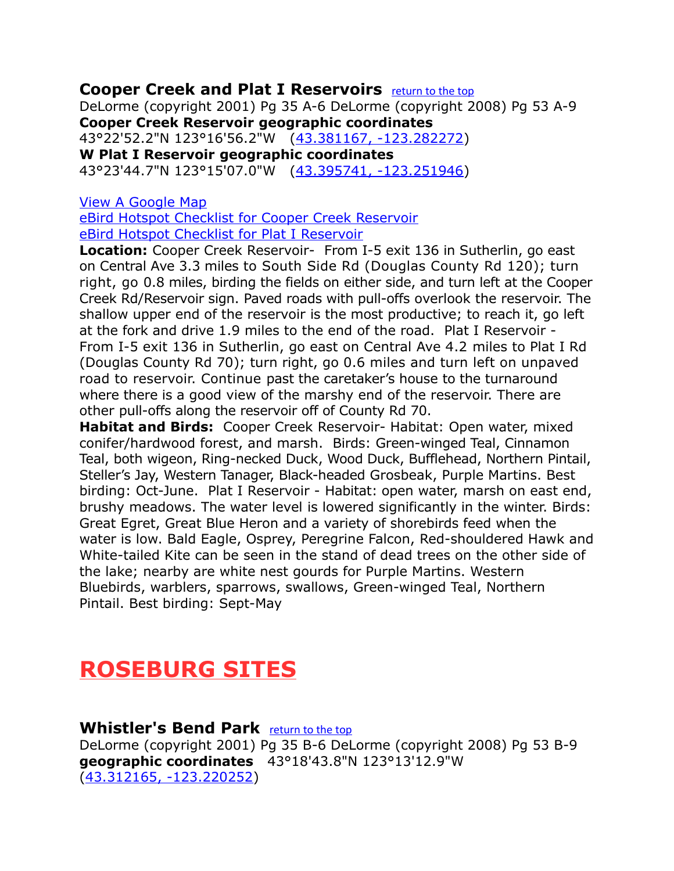### <span id="page-8-0"></span>**Cooper Creek and Plat I Reservoirs** [return to the top](#page-0-0)

DeLorme (copyright 2001) Pg 35 A-6 DeLorme (copyright 2008) Pg 53 A-9 **Cooper Creek Reservoir geographic coordinates**

43°22'52.2"N 123°16'56.2"W [\(43.381167, -123.282272\)](https://www.google.com/maps/place/43%C2%B022) **W Plat I Reservoir geographic coordinates**

43°23'44.7"N 123°15'07.0"W [\(43.395741, -123.251946\)](https://www.google.com/maps/place/43%C2%B023)

### [View A Google Map](http://maps.google.com/maps/ms?hl=en&ie=UTF8&msa=0&ll=43.302196,-123.358612&spn=0.396263,1.057434&z=11&msid=108036481085398338899.0004687c802d2cfc1f800)

[eBird Hotspot Checklist for Cooper Creek Reservoir](http://ebird.org/ebird/hotspot/L1347696) [eBird Hotspot Checklist for Plat I Reservoir](http://ebird.org/ebird/hotspot/L1108724)

**Location:** Cooper Creek Reservoir- From I-5 exit 136 in Sutherlin, go east on Central Ave 3.3 miles to South Side Rd (Douglas County Rd 120); turn right, go 0.8 miles, birding the fields on either side, and turn left at the Cooper Creek Rd/Reservoir sign. Paved roads with pull-offs overlook the reservoir. The shallow upper end of the reservoir is the most productive; to reach it, go left at the fork and drive 1.9 miles to the end of the road. Plat I Reservoir - From I-5 exit 136 in Sutherlin, go east on Central Ave 4.2 miles to Plat I Rd (Douglas County Rd 70); turn right, go 0.6 miles and turn left on unpaved road to reservoir. Continue past the caretaker's house to the turnaround where there is a good view of the marshy end of the reservoir. There are other pull-offs along the reservoir off of County Rd 70.

**Habitat and Birds:** Cooper Creek Reservoir- Habitat: Open water, mixed conifer/hardwood forest, and marsh. Birds: Green-winged Teal, Cinnamon Teal, both wigeon, Ring-necked Duck, Wood Duck, Bufflehead, Northern Pintail, Steller's Jay, Western Tanager, Black-headed Grosbeak, Purple Martins. Best birding: Oct-June. Plat I Reservoir - Habitat: open water, marsh on east end, brushy meadows. The water level is lowered significantly in the winter. Birds: Great Egret, Great Blue Heron and a variety of shorebirds feed when the water is low. Bald Eagle, Osprey, Peregrine Falcon, Red-shouldered Hawk and White-tailed Kite can be seen in the stand of dead trees on the other side of the lake; nearby are white nest gourds for Purple Martins. Western Bluebirds, warblers, sparrows, swallows, Green-winged Teal, Northern Pintail. Best birding: Sept-May

## **ROSEBURG SITES**

<span id="page-8-1"></span>**Whistler's Bend Park** [return to the top](#page-0-0) DeLorme (copyright 2001) Pg 35 B-6 DeLorme (copyright 2008) Pg 53 B-9 **geographic coordinates** 43°18'43.8"N 123°13'12.9"W [\(43.312165, -123.220252\)](https://www.google.com/maps/place/43%C2%B018)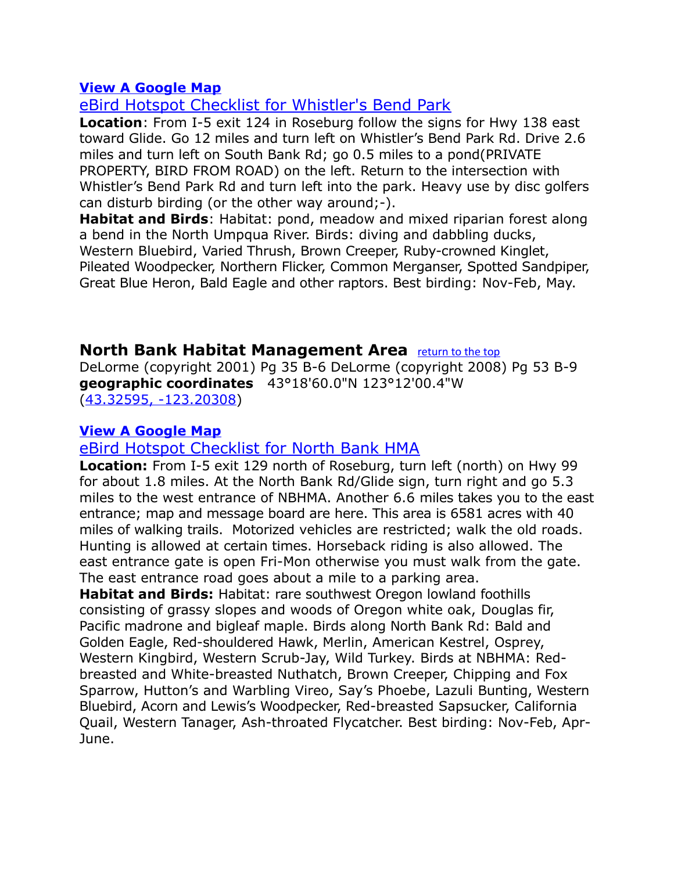[eBird Hotspot Checklist for Whistler's Bend Park](http://ebird.org/ebird/hotspot/L1178097)

**Location**: From I-5 exit 124 in Roseburg follow the signs for Hwy 138 east toward Glide. Go 12 miles and turn left on Whistler's Bend Park Rd. Drive 2.6 miles and turn left on South Bank Rd; go 0.5 miles to a pond(PRIVATE PROPERTY, BIRD FROM ROAD) on the left. Return to the intersection with Whistler's Bend Park Rd and turn left into the park. Heavy use by disc golfers can disturb birding (or the other way around;-).

**Habitat and Birds**: Habitat: pond, meadow and mixed riparian forest along a bend in the North Umpqua River. Birds: diving and dabbling ducks, Western Bluebird, Varied Thrush, Brown Creeper, Ruby-crowned Kinglet, Pileated Woodpecker, Northern Flicker, Common Merganser, Spotted Sandpiper, Great Blue Heron, Bald Eagle and other raptors. Best birding: Nov-Feb, May.

### <span id="page-9-0"></span>**North Bank Habitat Management Area** [return to the top](#page-0-0)

DeLorme (copyright 2001) Pg 35 B-6 DeLorme (copyright 2008) Pg 53 B-9 **geographic coordinates** 43°18'60.0"N 123°12'00.4"W [\(43.32595, -123.20308\)](https://www.google.com/maps/place/43%C2%B018)

### **[View A Google Map](http://maps.google.com/maps/ms?hl=en&ie=UTF8&msa=0&ll=43.302196,-123.358612&spn=0.396263,1.057434&z=11&msid=108036481085398338899.0004687c802d2cfc1f800)**

### [eBird Hotspot Checklist for North Bank HMA](http://ebird.org/ebird/hotspot/L2370724)

**Location:** From I-5 exit 129 north of Roseburg, turn left (north) on Hwy 99 for about 1.8 miles. At the North Bank Rd/Glide sign, turn right and go 5.3 miles to the west entrance of NBHMA. Another 6.6 miles takes you to the east entrance; map and message board are here. This area is 6581 acres with 40 miles of walking trails. Motorized vehicles are restricted; walk the old roads. Hunting is allowed at certain times. Horseback riding is also allowed. The east entrance gate is open Fri-Mon otherwise you must walk from the gate. The east entrance road goes about a mile to a parking area. **Habitat and Birds:** Habitat: rare southwest Oregon lowland foothills consisting of grassy slopes and woods of Oregon white oak, Douglas fir, Pacific madrone and bigleaf maple. Birds along North Bank Rd: Bald and Golden Eagle, Red-shouldered Hawk, Merlin, American Kestrel, Osprey,

Western Kingbird, Western Scrub-Jay, Wild Turkey. Birds at NBHMA: Redbreasted and White-breasted Nuthatch, Brown Creeper, Chipping and Fox Sparrow, Hutton's and Warbling Vireo, Say's Phoebe, Lazuli Bunting, Western Bluebird, Acorn and Lewis's Woodpecker, Red-breasted Sapsucker, California Quail, Western Tanager, Ash-throated Flycatcher. Best birding: Nov-Feb, Apr-June.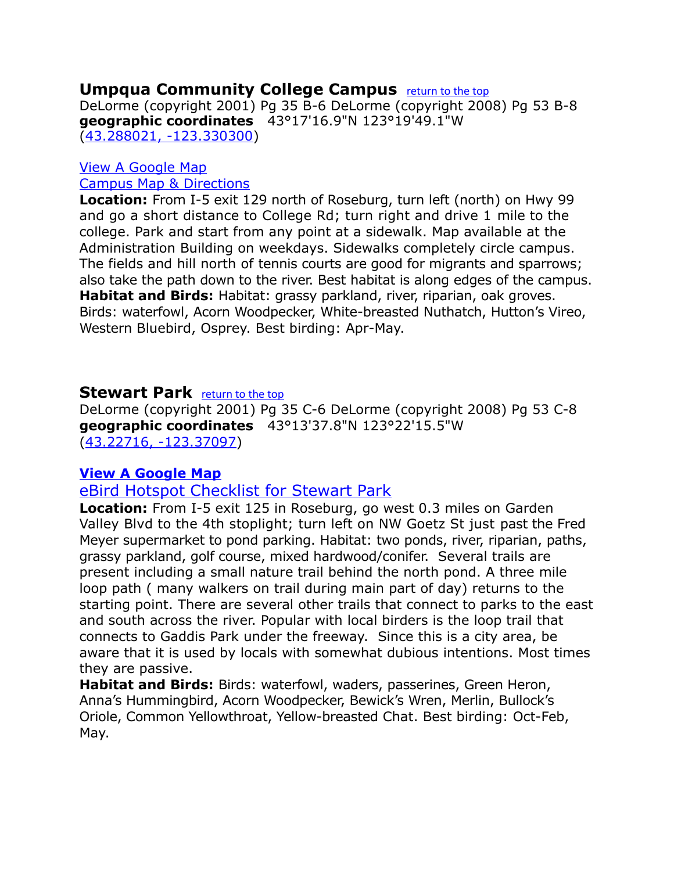### <span id="page-10-1"></span>**Umpqua Community College Campus** [return to the top](#page-0-0)

DeLorme (copyright 2001) Pg 35 B-6 DeLorme (copyright 2008) Pg 53 B-8 **geographic coordinates** 43°17'16.9"N 123°19'49.1"W [\(43.288021, -123.330300\)](https://www.google.com/maps/place/43%C2%B017)

### [View A Google Map](http://maps.google.com/maps/ms?hl=en&ie=UTF8&msa=0&ll=43.302196,-123.358612&spn=0.396263,1.057434&z=11&msid=108036481085398338899.0004687c802d2cfc1f800) [Campus Map & Directions](http://www.umpqua.edu/maps-a-directions)

**Location:** From I-5 exit 129 north of Roseburg, turn left (north) on Hwy 99 and go a short distance to College Rd; turn right and drive 1 mile to the college. Park and start from any point at a sidewalk. Map available at the Administration Building on weekdays. Sidewalks completely circle campus. The fields and hill north of tennis courts are good for migrants and sparrows; also take the path down to the river. Best habitat is along edges of the campus. **Habitat and Birds:** Habitat: grassy parkland, river, riparian, oak groves. Birds: waterfowl, Acorn Woodpecker, White-breasted Nuthatch, Hutton's Vireo, Western Bluebird, Osprey. Best birding: Apr-May.

### <span id="page-10-0"></span>**Stewart Park** [return to the top](#page-0-0)

DeLorme (copyright 2001) Pg 35 C-6 DeLorme (copyright 2008) Pg 53 C-8 **geographic coordinates** 43°13'37.8"N 123°22'15.5"W [\(43.22716, -123.37097\)](https://www.google.com/maps/place/43%C2%B013)

### **[View A Google Map](http://maps.google.com/maps/ms?hl=en&ie=UTF8&msa=0&ll=43.302196,-123.358612&spn=0.396263,1.057434&z=11&msid=108036481085398338899.0004687c802d2cfc1f800)**

### [eBird Hotspot Checklist for Stewart Park](http://ebird.org/ebird/hotspot/L1369249)

**Location:** From I-5 exit 125 in Roseburg, go west 0.3 miles on Garden Valley Blvd to the 4th stoplight; turn left on NW Goetz St just past the Fred Meyer supermarket to pond parking. Habitat: two ponds, river, riparian, paths, grassy parkland, golf course, mixed hardwood/conifer. Several trails are present including a small nature trail behind the north pond. A three mile loop path ( many walkers on trail during main part of day) returns to the starting point. There are several other trails that connect to parks to the east and south across the river. Popular with local birders is the loop trail that connects to Gaddis Park under the freeway. Since this is a city area, be aware that it is used by locals with somewhat dubious intentions. Most times they are passive.

**Habitat and Birds:** Birds: waterfowl, waders, passerines, Green Heron, Anna's Hummingbird, Acorn Woodpecker, Bewick's Wren, Merlin, Bullock's Oriole, Common Yellowthroat, Yellow-breasted Chat. Best birding: Oct-Feb, May.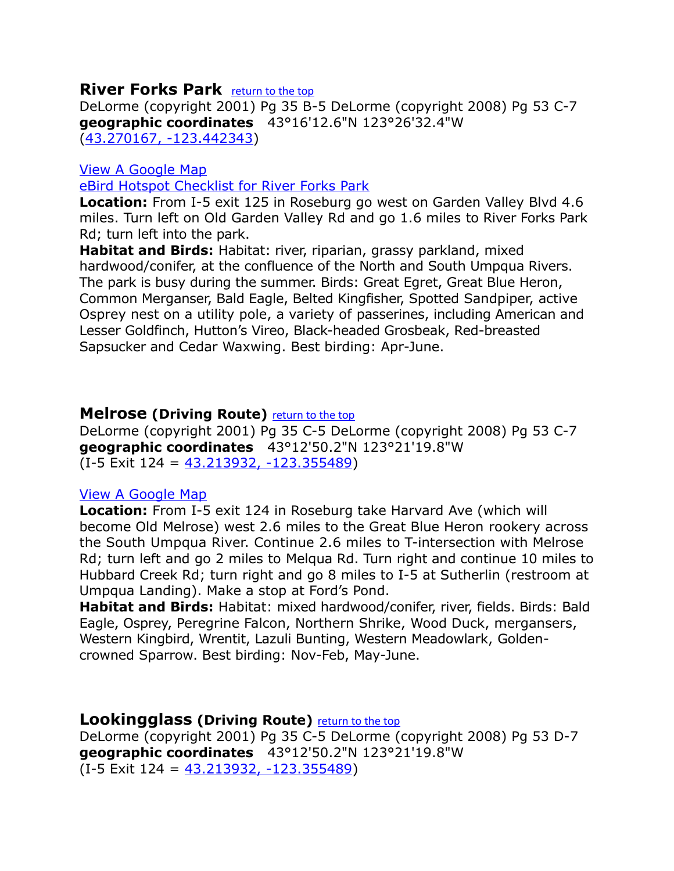### <span id="page-11-2"></span>**River Forks Park** [return to the top](#page-0-0)

DeLorme (copyright 2001) Pg 35 B-5 DeLorme (copyright 2008) Pg 53 C-7 **geographic coordinates** 43°16'12.6"N 123°26'32.4"W [\(43.270167, -123.442343\)](https://www.google.com/maps/place/43%C2%B016)

### [View A Google Map](http://maps.google.com/maps/ms?hl=en&ie=UTF8&msa=0&ll=43.302196,-123.358612&spn=0.396263,1.057434&z=11&msid=108036481085398338899.0004687c802d2cfc1f800)

[eBird Hotspot Checklist for River Forks Park](http://ebird.org/ebird/hotspot/L2370758)

**Location:** From I-5 exit 125 in Roseburg go west on Garden Valley Blvd 4.6 miles. Turn left on Old Garden Valley Rd and go 1.6 miles to River Forks Park Rd; turn left into the park.

**Habitat and Birds:** Habitat: river, riparian, grassy parkland, mixed hardwood/conifer, at the confluence of the North and South Umpqua Rivers. The park is busy during the summer. Birds: Great Egret, Great Blue Heron, Common Merganser, Bald Eagle, Belted Kingfisher, Spotted Sandpiper, active Osprey nest on a utility pole, a variety of passerines, including American and Lesser Goldfinch, Hutton's Vireo, Black-headed Grosbeak, Red-breasted Sapsucker and Cedar Waxwing. Best birding: Apr-June.

### <span id="page-11-1"></span>**Melrose (Driving Route)** [return to the top](#page-0-0)

DeLorme (copyright 2001) Pg 35 C-5 DeLorme (copyright 2008) Pg 53 C-7 **geographic coordinates** 43°12'50.2"N 123°21'19.8"W (I-5 Exit 124 = [43.213932, -123.355489\)](https://www.google.com/maps/place/43%C2%B012)

### [View A Google Map](http://maps.google.com/maps/ms?hl=en&ie=UTF8&msa=0&ll=43.302196,-123.358612&spn=0.396263,1.057434&z=11&msid=108036481085398338899.0004687c802d2cfc1f800)

**Location:** From I-5 exit 124 in Roseburg take Harvard Ave (which will become Old Melrose) west 2.6 miles to the Great Blue Heron rookery across the South Umpqua River. Continue 2.6 miles to T-intersection with Melrose Rd; turn left and go 2 miles to Melqua Rd. Turn right and continue 10 miles to Hubbard Creek Rd; turn right and go 8 miles to I-5 at Sutherlin (restroom at Umpqua Landing). Make a stop at Ford's Pond.

**Habitat and Birds:** Habitat: mixed hardwood/conifer, river, fields. Birds: Bald Eagle, Osprey, Peregrine Falcon, Northern Shrike, Wood Duck, mergansers, Western Kingbird, Wrentit, Lazuli Bunting, Western Meadowlark, Goldencrowned Sparrow. Best birding: Nov-Feb, May-June.

### <span id="page-11-0"></span>**Lookingglass (Driving Route)** [return to the top](#page-0-0)

DeLorme (copyright 2001) Pg 35 C-5 DeLorme (copyright 2008) Pg 53 D-7 **geographic coordinates** 43°12'50.2"N 123°21'19.8"W  $(I-5)$  Exit  $124 = 43.213932, -123.355489)$  $124 = 43.213932, -123.355489)$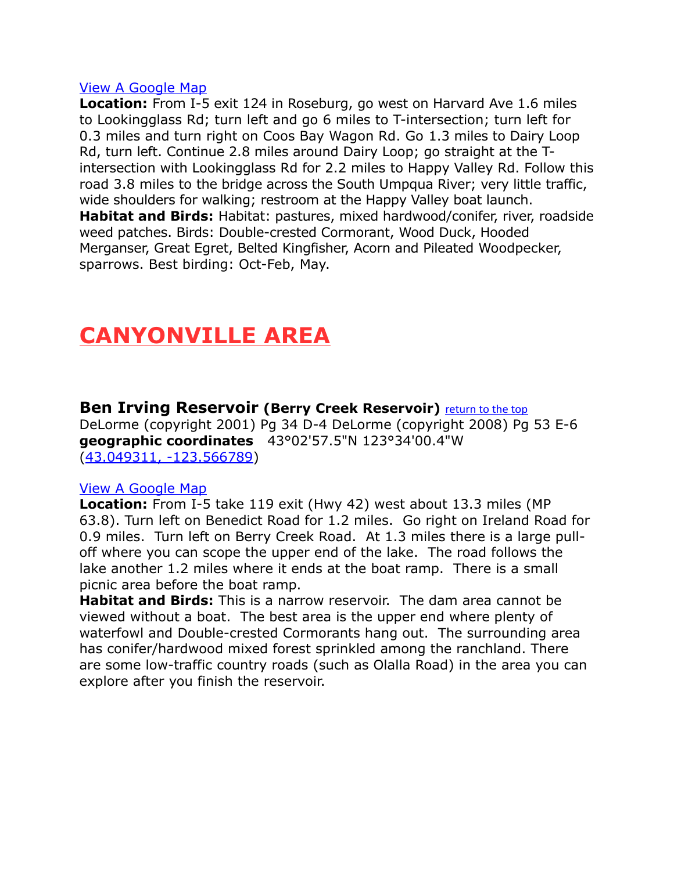**Location:** From I-5 exit 124 in Roseburg, go west on Harvard Ave 1.6 miles to Lookingglass Rd; turn left and go 6 miles to T-intersection; turn left for 0.3 miles and turn right on Coos Bay Wagon Rd. Go 1.3 miles to Dairy Loop Rd, turn left. Continue 2.8 miles around Dairy Loop; go straight at the Tintersection with Lookingglass Rd for 2.2 miles to Happy Valley Rd. Follow this road 3.8 miles to the bridge across the South Umpqua River; very little traffic, wide shoulders for walking; restroom at the Happy Valley boat launch. **Habitat and Birds:** Habitat: pastures, mixed hardwood/conifer, river, roadside weed patches. Birds: Double-crested Cormorant, Wood Duck, Hooded Merganser, Great Egret, Belted Kingfisher, Acorn and Pileated Woodpecker, sparrows. Best birding: Oct-Feb, May.

# **CANYONVILLE AREA**

<span id="page-12-0"></span>**Ben Irving Reservoir (Berry Creek Reservoir)** [return to the top](#page-0-0) DeLorme (copyright 2001) Pg 34 D-4 DeLorme (copyright 2008) Pg 53 E-6 **geographic coordinates** 43°02'57.5"N 123°34'00.4"W [\(43.049311, -123.566789\)](https://www.google.com/maps/place/43%C2%B002)

### [View A Google Map](http://maps.google.com/maps/ms?hl=en&ie=UTF8&msa=0&ll=43.302196,-123.358612&spn=0.396263,1.057434&z=11&msid=108036481085398338899.0004687c802d2cfc1f800)

**Location:** From I-5 take 119 exit (Hwy 42) west about 13.3 miles (MP 63.8). Turn left on Benedict Road for 1.2 miles. Go right on Ireland Road for 0.9 miles. Turn left on Berry Creek Road. At 1.3 miles there is a large pulloff where you can scope the upper end of the lake. The road follows the lake another 1.2 miles where it ends at the boat ramp. There is a small picnic area before the boat ramp.

**Habitat and Birds:** This is a narrow reservoir. The dam area cannot be viewed without a boat. The best area is the upper end where plenty of waterfowl and Double-crested Cormorants hang out. The surrounding area has conifer/hardwood mixed forest sprinkled among the ranchland. There are some low-traffic country roads (such as Olalla Road) in the area you can explore after you finish the reservoir.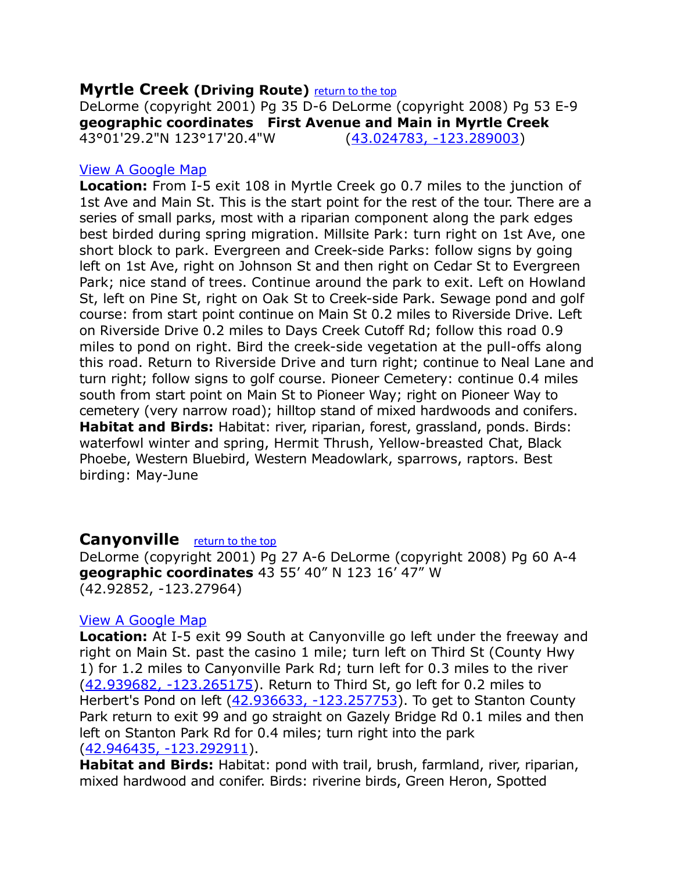### <span id="page-13-1"></span>**Myrtle Creek (Driving Route)** [return to the top](#page-0-0)

DeLorme (copyright 2001) Pg 35 D-6 DeLorme (copyright 2008) Pg 53 E-9 **geographic coordinates First Avenue and Main in Myrtle Creek** 43°01'29.2"N 123°17'20.4"W [\(43.024783, -123.289003\)](https://www.google.com/maps/place/43%C2%B001)

### [View A Google Map](http://maps.google.com/maps/ms?hl=en&ie=UTF8&msa=0&msid=108036481085398338899.0004687cd519e316e9cf5&ll=42.933301,-123.294067&spn=0.660575,1.399384&z=10)

**Location:** From I-5 exit 108 in Myrtle Creek go 0.7 miles to the junction of 1st Ave and Main St. This is the start point for the rest of the tour. There are a series of small parks, most with a riparian component along the park edges best birded during spring migration. Millsite Park: turn right on 1st Ave, one short block to park. Evergreen and Creek-side Parks: follow signs by going left on 1st Ave, right on Johnson St and then right on Cedar St to Evergreen Park; nice stand of trees. Continue around the park to exit. Left on Howland St, left on Pine St, right on Oak St to Creek-side Park. Sewage pond and golf course: from start point continue on Main St 0.2 miles to Riverside Drive. Left on Riverside Drive 0.2 miles to Days Creek Cutoff Rd; follow this road 0.9 miles to pond on right. Bird the creek-side vegetation at the pull-offs along this road. Return to Riverside Drive and turn right; continue to Neal Lane and turn right; follow signs to golf course. Pioneer Cemetery: continue 0.4 miles south from start point on Main St to Pioneer Way; right on Pioneer Way to cemetery (very narrow road); hilltop stand of mixed hardwoods and conifers. **Habitat and Birds:** Habitat: river, riparian, forest, grassland, ponds. Birds: waterfowl winter and spring, Hermit Thrush, Yellow-breasted Chat, Black Phoebe, Western Bluebird, Western Meadowlark, sparrows, raptors. Best birding: May-June

### <span id="page-13-0"></span>**Canyonville** [return to the top](#page-0-0)

DeLorme (copyright 2001) Pg 27 A-6 DeLorme (copyright 2008) Pg 60 A-4 **geographic coordinates** 43 55' 40" N 123 16' 47" W (42.92852, -123.27964)

### [View A Google Map](http://maps.google.com/maps/ms?hl=en&ie=UTF8&msa=0&msid=108036481085398338899.0004687cd519e316e9cf5&ll=42.933301,-123.294067&spn=0.660575,1.399384&z=10)

**Location:** At I-5 exit 99 South at Canyonville go left under the freeway and right on Main St. past the casino 1 mile; turn left on Third St (County Hwy 1) for 1.2 miles to Canyonville Park Rd; turn left for 0.3 miles to the river [\(42.939682, -123.265175\)](https://www.google.com/maps/place/42%C2%B056). Return to Third St, go left for 0.2 miles to Herbert's Pond on left [\(42.936633, -123.257753\)](https://www.google.com/maps/place/42%C2%B056). To get to Stanton County Park return to exit 99 and go straight on Gazely Bridge Rd 0.1 miles and then left on Stanton Park Rd for 0.4 miles; turn right into the park [\(42.946435, -123.292911\)](https://www.google.com/maps/place/42%C2%B056).

**Habitat and Birds:** Habitat: pond with trail, brush, farmland, river, riparian, mixed hardwood and conifer. Birds: riverine birds, Green Heron, Spotted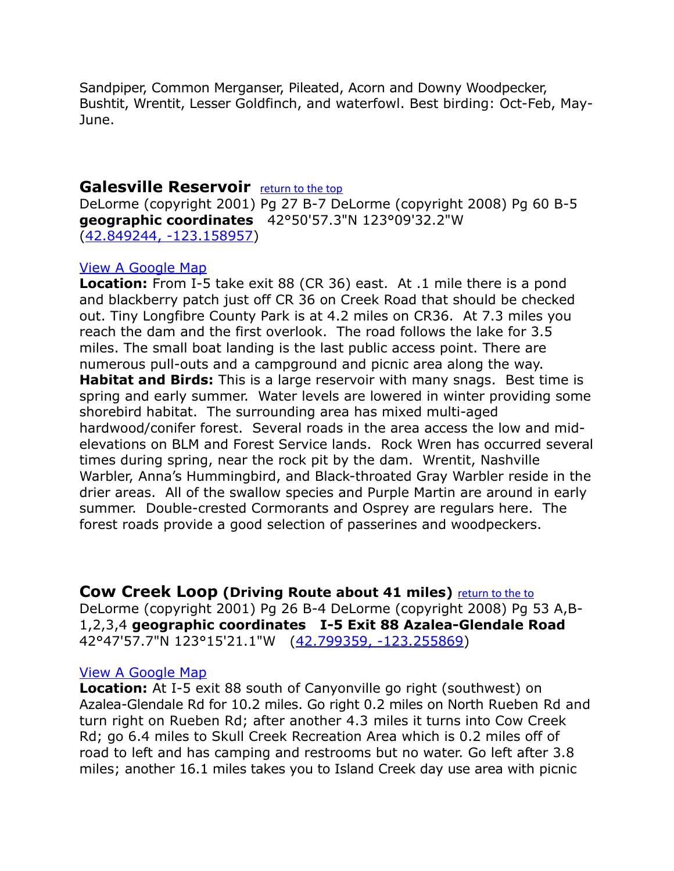Sandpiper, Common Merganser, Pileated, Acorn and Downy Woodpecker, Bushtit, Wrentit, Lesser Goldfinch, and waterfowl. Best birding: Oct-Feb, May-June.

### <span id="page-14-1"></span>**Galesville Reservoir** [return to the top](#page-0-0)

DeLorme (copyright 2001) Pg 27 B-7 DeLorme (copyright 2008) Pg 60 B-5 **geographic coordinates** 42°50'57.3"N 123°09'32.2"W [\(42.849244, -123.158957\)](https://www.google.com/maps/place/42%C2%B050)

### [View A Google Map](http://maps.google.com/maps/ms?hl=en&ie=UTF8&msa=0&msid=108036481085398338899.0004687cd519e316e9cf5&ll=42.933301,-123.294067&spn=0.660575,1.399384&z=10)

**Location:** From I-5 take exit 88 (CR 36) east. At .1 mile there is a pond and blackberry patch just off CR 36 on Creek Road that should be checked out. Tiny Longfibre County Park is at 4.2 miles on CR36. At 7.3 miles you reach the dam and the first overlook. The road follows the lake for 3.5 miles. The small boat landing is the last public access point. There are numerous pull-outs and a campground and picnic area along the way. **Habitat and Birds:** This is a large reservoir with many snags. Best time is spring and early summer. Water levels are lowered in winter providing some shorebird habitat. The surrounding area has mixed multi-aged hardwood/conifer forest. Several roads in the area access the low and midelevations on BLM and Forest Service lands. Rock Wren has occurred several times during spring, near the rock pit by the dam. Wrentit, Nashville Warbler, Anna's Hummingbird, and Black-throated Gray Warbler reside in the drier areas. All of the swallow species and Purple Martin are around in early summer. Double-crested Cormorants and Osprey are regulars here. The forest roads provide a good selection of passerines and woodpeckers.

<span id="page-14-0"></span>**Cow Creek Loop (Driving Route about 41 miles)** [return to the to](#page-0-0) DeLorme (copyright 2001) Pg 26 B-4 DeLorme (copyright 2008) Pg 53 A,B-1,2,3,4 **geographic coordinates I-5 Exit 88 Azalea-Glendale Road**  42°47'57.7"N 123°15'21.1"W [\(42.799359, -123.255869\)](https://www.google.com/maps/place/42%C2%B047)

### [View A Google Map](http://maps.google.com/maps/ms?hl=en&ie=UTF8&msa=0&msid=108036481085398338899.0004687cd519e316e9cf5&ll=42.933301,-123.294067&spn=0.660575,1.399384&z=10)

**Location:** At I-5 exit 88 south of Canyonville go right (southwest) on Azalea-Glendale Rd for 10.2 miles. Go right 0.2 miles on North Rueben Rd and turn right on Rueben Rd; after another 4.3 miles it turns into Cow Creek Rd; go 6.4 miles to Skull Creek Recreation Area which is 0.2 miles off of road to left and has camping and restrooms but no water. Go left after 3.8 miles; another 16.1 miles takes you to Island Creek day use area with picnic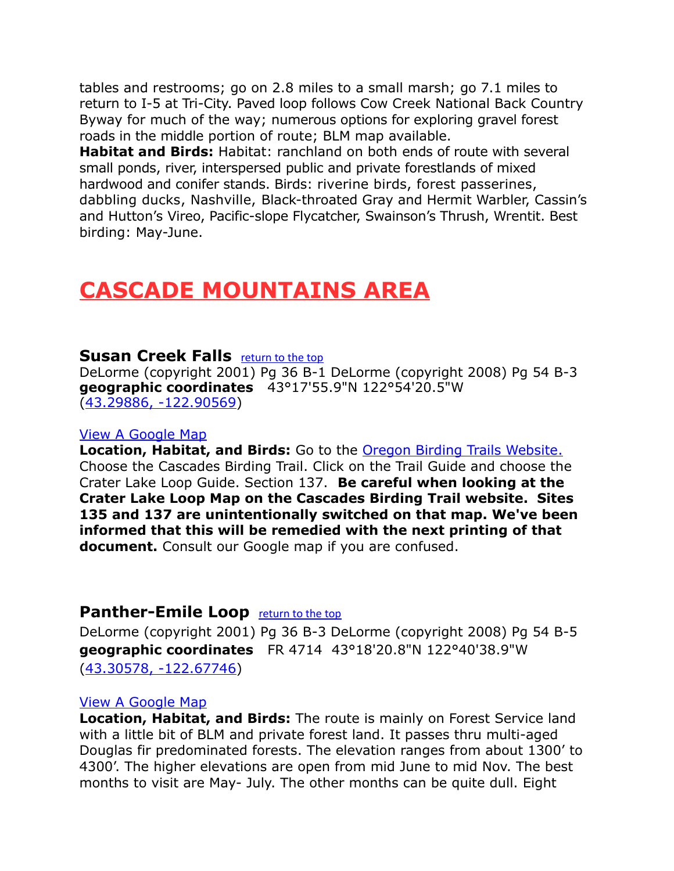tables and restrooms; go on 2.8 miles to a small marsh; go 7.1 miles to return to I-5 at Tri-City. Paved loop follows Cow Creek National Back Country Byway for much of the way; numerous options for exploring gravel forest roads in the middle portion of route; BLM map available.

**Habitat and Birds:** Habitat: ranchland on both ends of route with several small ponds, river, interspersed public and private forestlands of mixed hardwood and conifer stands. Birds: riverine birds, forest passerines, dabbling ducks, Nashville, Black-throated Gray and Hermit Warbler, Cassin's and Hutton's Vireo, Pacific-slope Flycatcher, Swainson's Thrush, Wrentit. Best birding: May-June.

# <span id="page-15-1"></span>**CASCADE MOUNTAINS AREA**

### **Susan Creek Falls** *[return to the top](#page-0-0)*

DeLorme (copyright 2001) Pg 36 B-1 DeLorme (copyright 2008) Pg 54 B-3 **geographic coordinates** 43°17'55.9"N 122°54'20.5"W [\(43.29886, -122.90569\)](https://www.google.com/maps/place/43%C2%B017)

#### [View A Google Map](http://maps.google.com/maps/ms?hl=en&ie=UTF8&msa=0&msid=108036481085398338899.00046d949851880c3dc1a&ll=43.31119,-122.525024&spn=1.313003,2.798767&z=9)

**Location, Habitat, and Birds:** Go to the [Oregon Birding Trails Website.](http://www.oregonbirdingtrails.org/) Choose the Cascades Birding Trail. Click on the Trail Guide and choose the Crater Lake Loop Guide. Section 137. **Be careful when looking at the Crater Lake Loop Map on the Cascades Birding Trail website. Sites 135 and 137 are unintentionally switched on that map. We've been informed that this will be remedied with the next printing of that document.** Consult our Google map if you are confused.

### <span id="page-15-0"></span>**Panther-Emile Loop <u>[return to the top](#page-0-0)</u>**

DeLorme (copyright 2001) Pg 36 B-3 DeLorme (copyright 2008) Pg 54 B-5 **geographic coordinates** FR 4714 43°18'20.8"N 122°40'38.9"W [\(43.30578, -122.67746\)](https://www.google.com/maps/place/43%C2%B018)

### [View A Google Map](http://maps.google.com/maps/ms?hl=en&ie=UTF8&msa=0&msid=108036481085398338899.00049007e492a2ee32d76&z=11)

**Location, Habitat, and Birds:** The route is mainly on Forest Service land with a little bit of BLM and private forest land. It passes thru multi-aged Douglas fir predominated forests. The elevation ranges from about 1300' to 4300'. The higher elevations are open from mid June to mid Nov. The best months to visit are May- July. The other months can be quite dull. Eight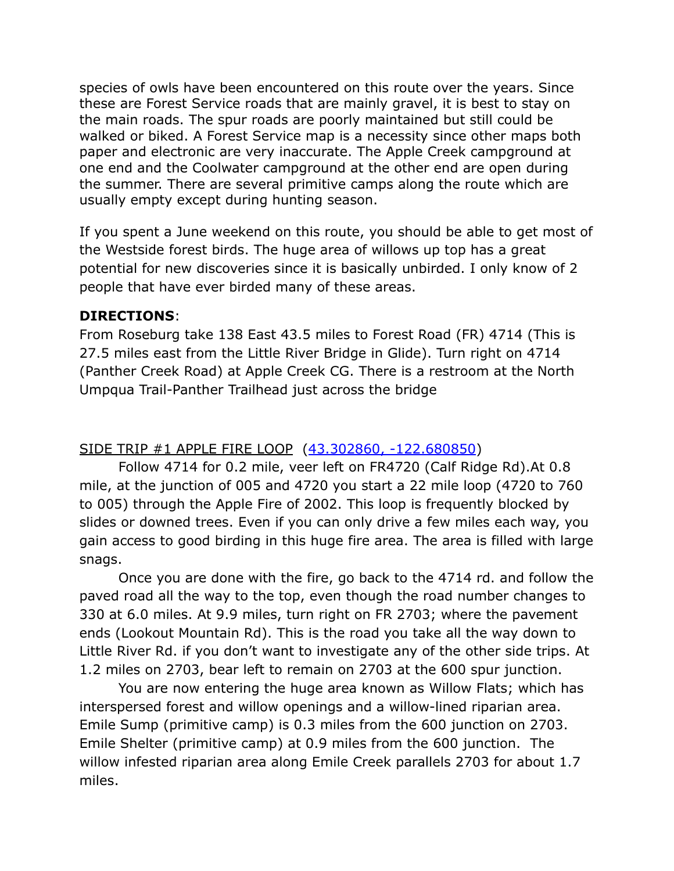species of owls have been encountered on this route over the years. Since these are Forest Service roads that are mainly gravel, it is best to stay on the main roads. The spur roads are poorly maintained but still could be walked or biked. A Forest Service map is a necessity since other maps both paper and electronic are very inaccurate. The Apple Creek campground at one end and the Coolwater campground at the other end are open during the summer. There are several primitive camps along the route which are usually empty except during hunting season.

If you spent a June weekend on this route, you should be able to get most of the Westside forest birds. The huge area of willows up top has a great potential for new discoveries since it is basically unbirded. I only know of 2 people that have ever birded many of these areas.

### **DIRECTIONS**:

From Roseburg take 138 East 43.5 miles to Forest Road (FR) 4714 (This is 27.5 miles east from the Little River Bridge in Glide). Turn right on 4714 (Panther Creek Road) at Apple Creek CG. There is a restroom at the North Umpqua Trail-Panther Trailhead just across the bridge

### SIDE TRIP #1 APPLE FIRE LOOP [\(43.302860, -122.680850\)](https://www.google.com/maps/place/43%C2%B018)

Follow 4714 for 0.2 mile, veer left on FR4720 (Calf Ridge Rd).At 0.8 mile, at the junction of 005 and 4720 you start a 22 mile loop (4720 to 760 to 005) through the Apple Fire of 2002. This loop is frequently blocked by slides or downed trees. Even if you can only drive a few miles each way, you gain access to good birding in this huge fire area. The area is filled with large snags.

Once you are done with the fire, go back to the 4714 rd. and follow the paved road all the way to the top, even though the road number changes to 330 at 6.0 miles. At 9.9 miles, turn right on FR 2703; where the pavement ends (Lookout Mountain Rd). This is the road you take all the way down to Little River Rd. if you don't want to investigate any of the other side trips. At 1.2 miles on 2703, bear left to remain on 2703 at the 600 spur junction.

You are now entering the huge area known as Willow Flats; which has interspersed forest and willow openings and a willow-lined riparian area. Emile Sump (primitive camp) is 0.3 miles from the 600 junction on 2703. Emile Shelter (primitive camp) at 0.9 miles from the 600 junction. The willow infested riparian area along Emile Creek parallels 2703 for about 1.7 miles.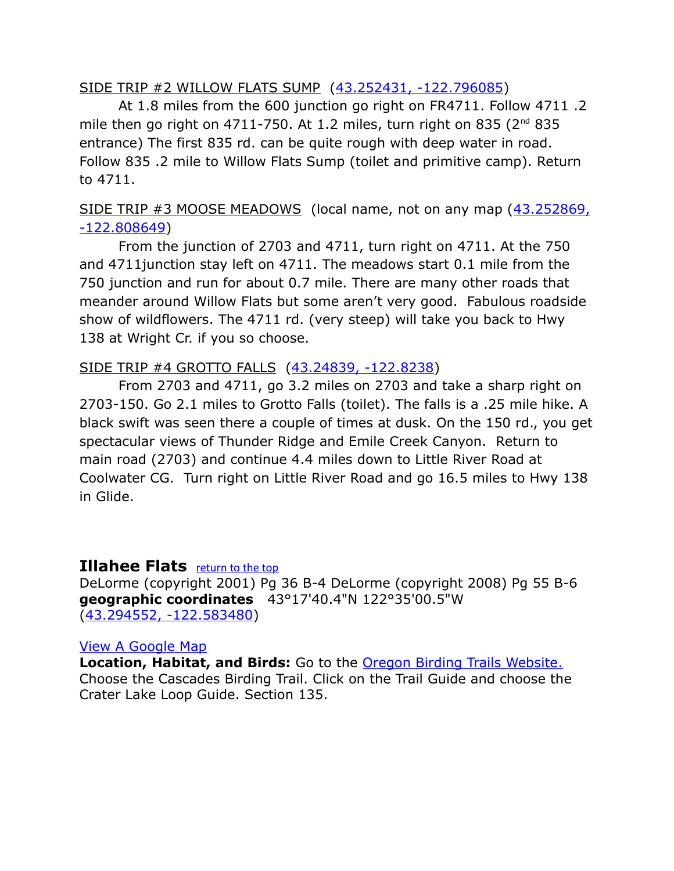### SIDE TRIP #2 WILLOW FLATS SUMP [\(43.252431, -122.796085\)](https://www.google.com/maps/place/43%C2%B015)

At 1.8 miles from the 600 junction go right on FR4711. Follow 4711 .2 mile then go right on 4711-750. At 1.2 miles, turn right on 835 ( $2^{nd}$  835 entrance) The first 835 rd. can be quite rough with deep water in road. Follow 835 .2 mile to Willow Flats Sump (toilet and primitive camp). Return to 4711.

### SIDE TRIP #3 MOOSE MEADOWS (local name, not on any map [\(43.252869,](https://www.google.com/maps/place/43%C2%B015) [-122.808649\)](https://www.google.com/maps/place/43%C2%B015)

From the junction of 2703 and 4711, turn right on 4711. At the 750 and 4711junction stay left on 4711. The meadows start 0.1 mile from the 750 junction and run for about 0.7 mile. There are many other roads that meander around Willow Flats but some aren't very good. Fabulous roadside show of wildflowers. The 4711 rd. (very steep) will take you back to Hwy 138 at Wright Cr. if you so choose.

### SIDE TRIP #4 GROTTO FALLS [\(43.24839, -122.8238\)](https://www.google.com/maps/place/43%C2%B014)

From 2703 and 4711, go 3.2 miles on 2703 and take a sharp right on 2703-150. Go 2.1 miles to Grotto Falls (toilet). The falls is a .25 mile hike. A black swift was seen there a couple of times at dusk. On the 150 rd., you get spectacular views of Thunder Ridge and Emile Creek Canyon. Return to main road (2703) and continue 4.4 miles down to Little River Road at Coolwater CG. Turn right on Little River Road and go 16.5 miles to Hwy 138 in Glide.

### <span id="page-17-0"></span>**Illahee Flats <u>[return to the top](#page-0-0)</u>**

DeLorme (copyright 2001) Pg 36 B-4 DeLorme (copyright 2008) Pg 55 B-6 **geographic coordinates** 43°17'40.4"N 122°35'00.5"W [\(43.294552, -122.583480\)](https://www.google.com/maps/place/43%C2%B017)

### [View A Google Map](http://maps.google.com/maps/ms?hl=en&ie=UTF8&msa=0&msid=108036481085398338899.00046d949851880c3dc1a&ll=43.31119,-122.525024&spn=1.313003,2.798767&z=9)

**Location, Habitat, and Birds:** Go to the [Oregon Birding Trails Website.](http://www.oregonbirdingtrails.org/) Choose the Cascades Birding Trail. Click on the Trail Guide and choose the Crater Lake Loop Guide. Section 135.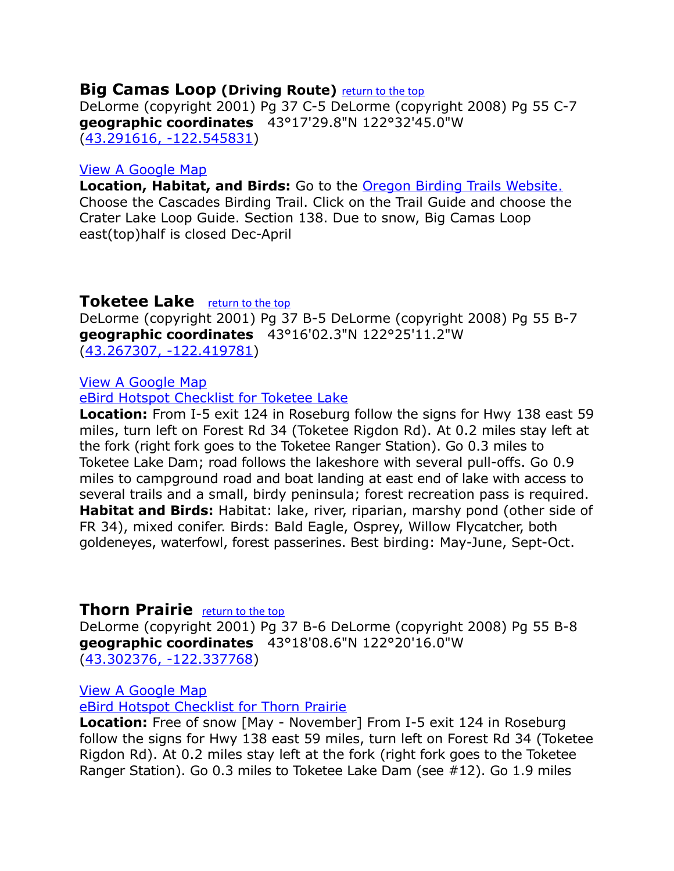### <span id="page-18-2"></span>**Big Camas Loop (Driving Route)** [return to the top](#page-0-0)

DeLorme (copyright 2001) Pg 37 C-5 DeLorme (copyright 2008) Pg 55 C-7 **geographic coordinates** 43°17'29.8"N 122°32'45.0"W [\(43.291616, -122.545831\)](https://www.google.com/maps/place/43%C2%B017)

### [View A Google Map](http://maps.google.com/maps/ms?hl=en&ie=UTF8&msa=0&msid=108036481085398338899.00046d949851880c3dc1a&ll=43.31119,-122.525024&spn=1.313003,2.798767&z=9)

**Location, Habitat, and Birds:** Go to the [Oregon Birding Trails Website.](http://www.oregonbirdingtrails.org/) Choose the Cascades Birding Trail. Click on the Trail Guide and choose the Crater Lake Loop Guide. Section 138. Due to snow, Big Camas Loop east(top)half is closed Dec-April

### <span id="page-18-1"></span>**Toketee Lake [return to the top](#page-0-0)**

DeLorme (copyright 2001) Pg 37 B-5 DeLorme (copyright 2008) Pg 55 B-7 **geographic coordinates** 43°16'02.3"N 122°25'11.2"W [\(43.267307, -122.419781\)](https://www.google.com/maps/place/43%C2%B016)

### [View A Google Map](http://maps.google.com/maps/ms?hl=en&ie=UTF8&msa=0&msid=108036481085398338899.0004687cac168847fc8cc&ll=43.256206,-122.400055&spn=0.859132,2.108002&z=10)

[eBird Hotspot Checklist for Toketee Lake](http://ebird.org/ebird/hotspot/L867228)

**Location:** From I-5 exit 124 in Roseburg follow the signs for Hwy 138 east 59 miles, turn left on Forest Rd 34 (Toketee Rigdon Rd). At 0.2 miles stay left at the fork (right fork goes to the Toketee Ranger Station). Go 0.3 miles to Toketee Lake Dam; road follows the lakeshore with several pull-offs. Go 0.9 miles to campground road and boat landing at east end of lake with access to several trails and a small, birdy peninsula; forest recreation pass is required. **Habitat and Birds:** Habitat: lake, river, riparian, marshy pond (other side of FR 34), mixed conifer. Birds: Bald Eagle, Osprey, Willow Flycatcher, both goldeneyes, waterfowl, forest passerines. Best birding: May-June, Sept-Oct.

### <span id="page-18-0"></span>**Thorn Prairie** *[return to the top](#page-0-0)*

DeLorme (copyright 2001) Pg 37 B-6 DeLorme (copyright 2008) Pg 55 B-8 **geographic coordinates** 43°18'08.6"N 122°20'16.0"W [\(43.302376, -122.337768\)](https://www.google.com/maps/place/43%C2%B018)

[View A Google Map](http://maps.google.com/maps/ms?hl=en&ie=UTF8&msa=0&msid=108036481085398338899.0004687cac168847fc8cc&ll=43.256206,-122.400055&spn=0.859132,2.108002&z=10)

[eBird Hotspot Checklist for Thorn Prairie](http://ebird.org/ebird/hotspot/L1609573)

**Location:** Free of snow [May - November] From I-5 exit 124 in Roseburg follow the signs for Hwy 138 east 59 miles, turn left on Forest Rd 34 (Toketee Rigdon Rd). At 0.2 miles stay left at the fork (right fork goes to the Toketee Ranger Station). Go 0.3 miles to Toketee Lake Dam (see #12). Go 1.9 miles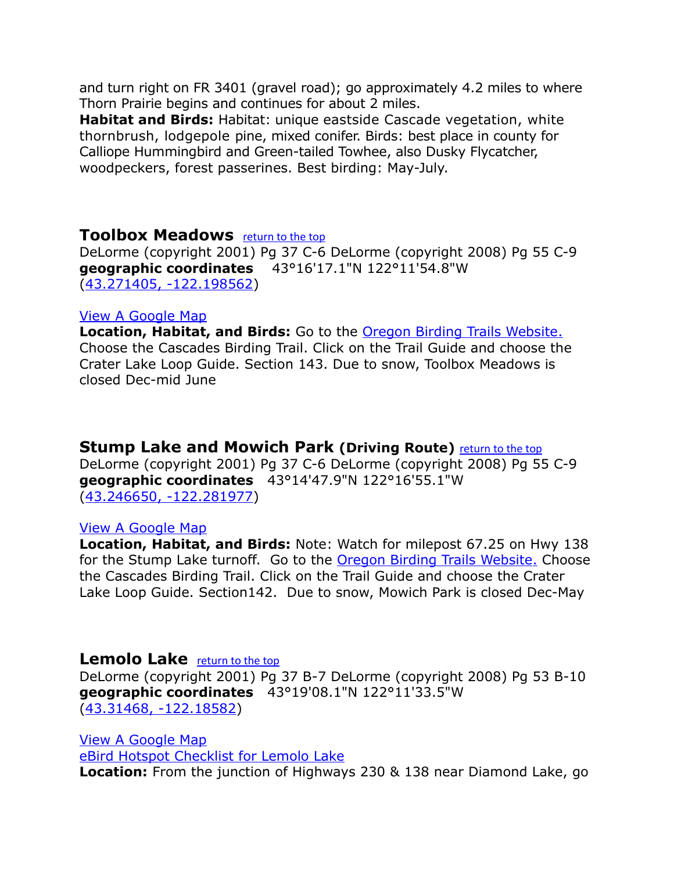and turn right on FR 3401 (gravel road); go approximately 4.2 miles to where Thorn Prairie begins and continues for about 2 miles.

**Habitat and Birds:** Habitat: unique eastside Cascade vegetation, white thornbrush, lodgepole pine, mixed conifer. Birds: best place in county for Calliope Hummingbird and Green-tailed Towhee, also Dusky Flycatcher, woodpeckers, forest passerines. Best birding: May-July.

### <span id="page-19-2"></span>**Toolbox Meadows <u>[return to the top](#page-0-0)</u>**

DeLorme (copyright 2001) Pg 37 C-6 DeLorme (copyright 2008) Pg 55 C-9 **geographic coordinates** 43°16'17.1"N 122°11'54.8"W [\(43.271405, -122.198562\)](https://www.google.com/maps/place/43%C2%B016)

### [View A Google Map](http://maps.google.com/maps/ms?hl=en&ie=UTF8&msa=0&msid=108036481085398338899.00046d949851880c3dc1a&ll=43.31119,-122.525024&spn=1.313003,2.798767&z=9)

**Location, Habitat, and Birds:** Go to the [Oregon Birding Trails Website.](http://www.oregonbirdingtrails.org/) Choose the Cascades Birding Trail. Click on the Trail Guide and choose the Crater Lake Loop Guide. Section 143. Due to snow, Toolbox Meadows is closed Dec-mid June

### <span id="page-19-1"></span>**Stump Lake and Mowich Park (Driving Route)** [return to the top](#page-0-0)

DeLorme (copyright 2001) Pg 37 C-6 DeLorme (copyright 2008) Pg 55 C-9 **geographic coordinates** 43°14'47.9"N 122°16'55.1"W [\(43.246650, -122.281977\)](https://www.google.com/maps/place/43%C2%B014)

### [View A Google Map](http://maps.google.com/maps/ms?hl=en&ie=UTF8&msa=0&msid=108036481085398338899.00046d949851880c3dc1a&ll=43.31119,-122.525024&spn=1.313003,2.798767&z=9)

**Location, Habitat, and Birds:** Note: Watch for milepost 67.25 on Hwy 138 for the Stump Lake turnoff. Go to the **Oregon Birding Trails Website.** Choose the Cascades Birding Trail. Click on the Trail Guide and choose the Crater Lake Loop Guide. Section142. Due to snow, Mowich Park is closed Dec-May

### <span id="page-19-0"></span>**Lemolo Lake** *[return to the top](#page-0-0)*

DeLorme (copyright 2001) Pg 37 B-7 DeLorme (copyright 2008) Pg 53 B-10 **geographic coordinates** 43°19'08.1"N 122°11'33.5"W [\(43.31468, -122.18582\)](https://www.google.com/maps/place/43%C2%B019)

[View A Google Map](http://maps.google.com/maps/ms?hl=en&ie=UTF8&msa=0&msid=108036481085398338899.0004687cac168847fc8cc&ll=43.256206,-122.400055&spn=0.859132,2.108002&z=10) [eBird Hotspot Checklist for Lemolo Lake](http://ebird.org/ebird/hotspot/L1527232) **Location:** From the junction of Highways 230 & 138 near Diamond Lake, go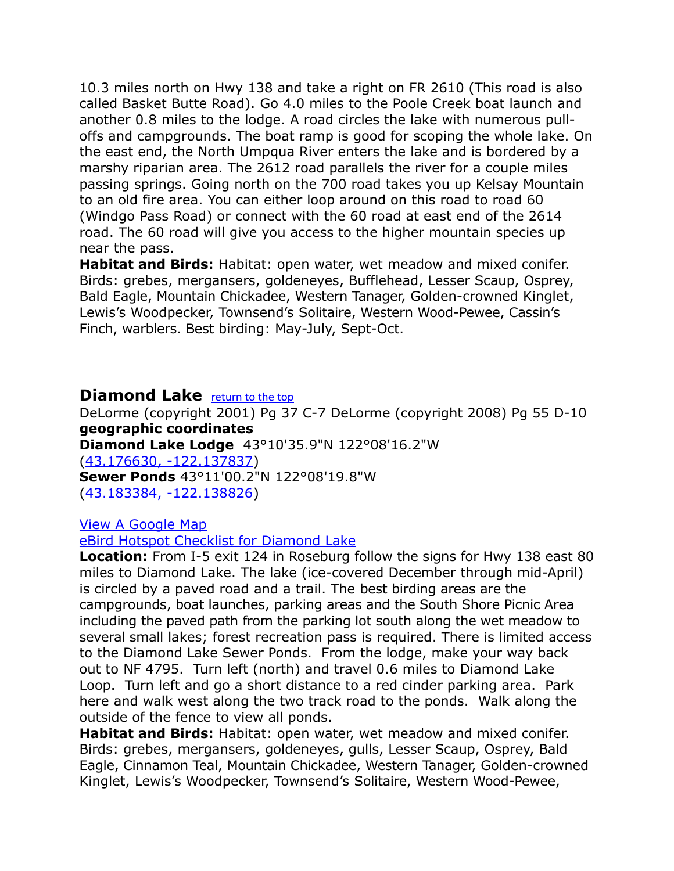10.3 miles north on Hwy 138 and take a right on FR 2610 (This road is also called Basket Butte Road). Go 4.0 miles to the Poole Creek boat launch and another 0.8 miles to the lodge. A road circles the lake with numerous pulloffs and campgrounds. The boat ramp is good for scoping the whole lake. On the east end, the North Umpqua River enters the lake and is bordered by a marshy riparian area. The 2612 road parallels the river for a couple miles passing springs. Going north on the 700 road takes you up Kelsay Mountain to an old fire area. You can either loop around on this road to road 60 (Windgo Pass Road) or connect with the 60 road at east end of the 2614 road. The 60 road will give you access to the higher mountain species up near the pass.

**Habitat and Birds:** Habitat: open water, wet meadow and mixed conifer. Birds: grebes, mergansers, goldeneyes, Bufflehead, Lesser Scaup, Osprey, Bald Eagle, Mountain Chickadee, Western Tanager, Golden-crowned Kinglet, Lewis's Woodpecker, Townsend's Solitaire, Western Wood-Pewee, Cassin's Finch, warblers. Best birding: May-July, Sept-Oct.

### <span id="page-20-0"></span>**Diamond Lake** [return to the top](#page-0-0)

DeLorme (copyright 2001) Pg 37 C-7 DeLorme (copyright 2008) Pg 55 D-10 **geographic coordinates**

**Diamond Lake Lodge** 43°10'35.9"N 122°08'16.2"W

[\(43.176630, -122.137837\)](https://www.google.com/maps/place/43%C2%B010)

**Sewer Ponds** 43°11'00.2"N 122°08'19.8"W

[\(43.183384, -122.138826\)](https://www.google.com/maps/place/43%C2%B011)

[View A Google Map](http://maps.google.com/maps/ms?hl=en&ie=UTF8&msa=0&msid=108036481085398338899.0004687cac168847fc8cc&ll=43.256206,-122.400055&spn=0.859132,2.108002&z=10)

[eBird Hotspot Checklist for Diamond Lake](http://ebird.org/ebird/hotspot/L766488)

**Location:** From I-5 exit 124 in Roseburg follow the signs for Hwy 138 east 80 miles to Diamond Lake. The lake (ice-covered December through mid-April) is circled by a paved road and a trail. The best birding areas are the campgrounds, boat launches, parking areas and the South Shore Picnic Area including the paved path from the parking lot south along the wet meadow to several small lakes; forest recreation pass is required. There is limited access to the Diamond Lake Sewer Ponds. From the lodge, make your way back out to NF 4795. Turn left (north) and travel 0.6 miles to Diamond Lake Loop. Turn left and go a short distance to a red cinder parking area. Park here and walk west along the two track road to the ponds. Walk along the outside of the fence to view all ponds.

**Habitat and Birds:** Habitat: open water, wet meadow and mixed conifer. Birds: grebes, mergansers, goldeneyes, gulls, Lesser Scaup, Osprey, Bald Eagle, Cinnamon Teal, Mountain Chickadee, Western Tanager, Golden-crowned Kinglet, Lewis's Woodpecker, Townsend's Solitaire, Western Wood-Pewee,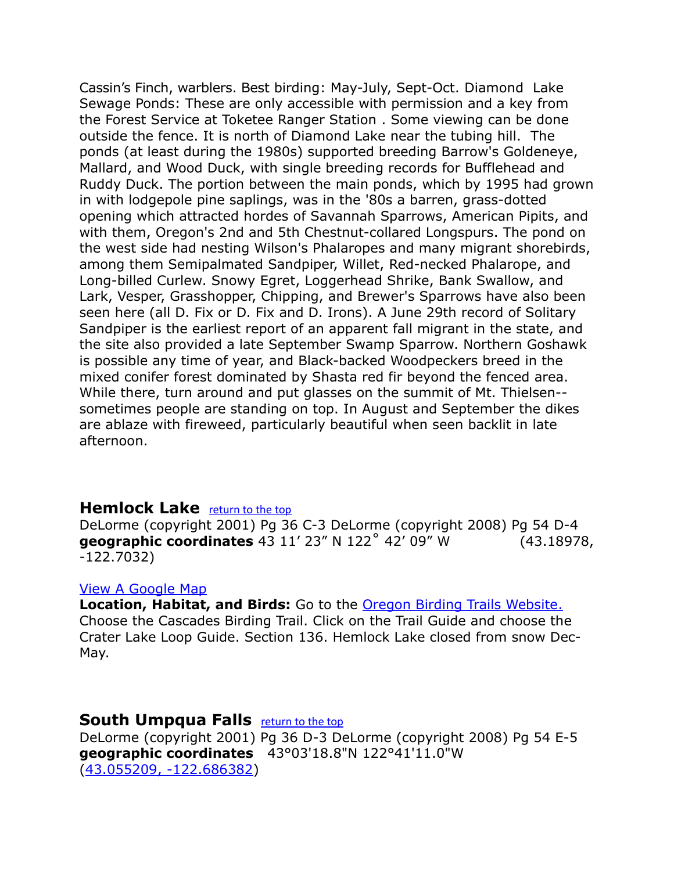Cassin's Finch, warblers. Best birding: May-July, Sept-Oct. Diamond Lake Sewage Ponds: These are only accessible with permission and a key from the Forest Service at Toketee Ranger Station . Some viewing can be done outside the fence. It is north of Diamond Lake near the tubing hill. The ponds (at least during the 1980s) supported breeding Barrow's Goldeneye, Mallard, and Wood Duck, with single breeding records for Bufflehead and Ruddy Duck. The portion between the main ponds, which by 1995 had grown in with lodgepole pine saplings, was in the '80s a barren, grass-dotted opening which attracted hordes of Savannah Sparrows, American Pipits, and with them, Oregon's 2nd and 5th Chestnut-collared Longspurs. The pond on the west side had nesting Wilson's Phalaropes and many migrant shorebirds, among them Semipalmated Sandpiper, Willet, Red-necked Phalarope, and Long-billed Curlew. Snowy Egret, Loggerhead Shrike, Bank Swallow, and Lark, Vesper, Grasshopper, Chipping, and Brewer's Sparrows have also been seen here (all D. Fix or D. Fix and D. Irons). A June 29th record of Solitary Sandpiper is the earliest report of an apparent fall migrant in the state, and the site also provided a late September Swamp Sparrow. Northern Goshawk is possible any time of year, and Black-backed Woodpeckers breed in the mixed conifer forest dominated by Shasta red fir beyond the fenced area. While there, turn around and put glasses on the summit of Mt. Thielsen- sometimes people are standing on top. In August and September the dikes are ablaze with fireweed, particularly beautiful when seen backlit in late afternoon.

### <span id="page-21-1"></span>**Hemlock Lake [return to the top](#page-0-0)**

DeLorme (copyright 2001) Pg 36 C-3 DeLorme (copyright 2008) Pg 54 D-4 **geographic coordinates** 43 11' 23" N 122˚ 42' 09" W (43.18978, -122.7032)

#### [View A Google Map](http://maps.google.com/maps/ms?hl=en&ie=UTF8&msa=0&msid=108036481085398338899.00046d949851880c3dc1a&ll=43.31119,-122.525024&spn=1.313003,2.798767&z=9)

**Location, Habitat, and Birds:** Go to the [Oregon Birding Trails Website.](http://www.oregonbirdingtrails.org/) Choose the Cascades Birding Trail. Click on the Trail Guide and choose the Crater Lake Loop Guide. Section 136. Hemlock Lake closed from snow Dec-May.

### <span id="page-21-0"></span>**South Umpqua Falls [return to the top](#page-0-0)**

DeLorme (copyright 2001) Pg 36 D-3 DeLorme (copyright 2008) Pg 54 E-5 **geographic coordinates** 43°03'18.8"N 122°41'11.0"W [\(43.055209, -122.686382\)](https://www.google.com/maps/place/43%C2%B003)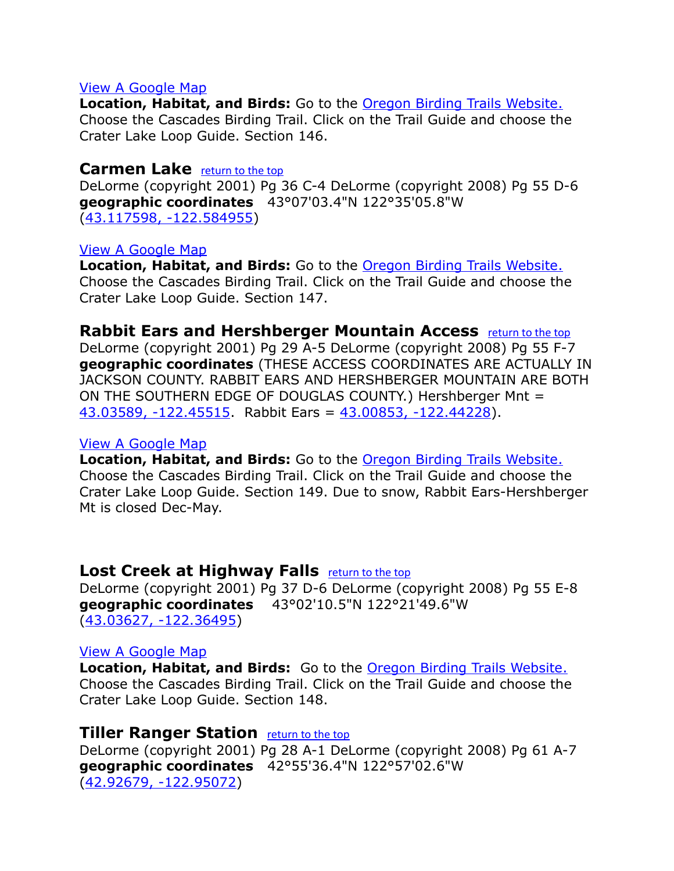**Location, Habitat, and Birds:** Go to the [Oregon Birding Trails Website.](http://www.oregonbirdingtrails.org/) Choose the Cascades Birding Trail. Click on the Trail Guide and choose the Crater Lake Loop Guide. Section 146.

### <span id="page-22-3"></span>**Carmen Lake** *[return to the top](#page-0-0)*

DeLorme (copyright 2001) Pg 36 C-4 DeLorme (copyright 2008) Pg 55 D-6 **geographic coordinates** 43°07'03.4"N 122°35'05.8"W [\(43.117598, -122.584955\)](https://www.google.com/maps/place/43%C2%B007)

### [View A Google Map](http://maps.google.com/maps/ms?hl=en&ie=UTF8&msa=0&msid=108036481085398338899.00046d9654754edcb9c8c&ll=43.049823,-122.748871&spn=0.787777,2.110748&z=10)

**Location, Habitat, and Birds:** Go to the [Oregon Birding Trails Website.](http://www.oregonbirdingtrails.org/) Choose the Cascades Birding Trail. Click on the Trail Guide and choose the Crater Lake Loop Guide. Section 147.

### <span id="page-22-2"></span>**Rabbit Ears and Hershberger Mountain Access** [return to the top](#page-0-0)

DeLorme (copyright 2001) Pg 29 A-5 DeLorme (copyright 2008) Pg 55 F-7 **geographic coordinates** (THESE ACCESS COORDINATES ARE ACTUALLY IN JACKSON COUNTY. RABBIT EARS AND HERSHBERGER MOUNTAIN ARE BOTH ON THE SOUTHERN EDGE OF DOUGLAS COUNTY.) Hershberger Mnt = [43.03589, -122.45515.](https://www.google.com/maps/place/43%C2%B002) Rabbit Ears = [43.00853, -122.44228\)](https://www.google.com/maps/place/43%C2%B000).

### [View A Google Map](http://maps.google.com/maps/ms?hl=en&ie=UTF8&msa=0&msid=108036481085398338899.00046d9914f01abee976e&ll=42.982047,-122.176208&spn=0.394325,1.055374&z=11)

**Location, Habitat, and Birds:** Go to the [Oregon Birding Trails Website.](http://www.oregonbirdingtrails.org/) Choose the Cascades Birding Trail. Click on the Trail Guide and choose the Crater Lake Loop Guide. Section 149. Due to snow, Rabbit Ears-Hershberger Mt is closed Dec-May.

### <span id="page-22-1"></span>**Lost Creek at Highway Falls <u>[return to the top](#page-0-0)</u>**

DeLorme (copyright 2001) Pg 37 D-6 DeLorme (copyright 2008) Pg 55 E-8 **geographic coordinates** 43°02'10.5"N 122°21'49.6"W [\(43.03627, -122.36495\)](https://www.google.com/maps/place/43%C2%B002)

#### [View A Google Map](http://maps.google.com/maps/ms?hl=en&ie=UTF8&msa=0&msid=108036481085398338899.00046d9914f01abee976e&ll=43.032761,-122.399368&spn=0.329755,0.699692&z=11)

**Location, Habitat, and Birds:** Go to the [Oregon Birding Trails Website.](http://www.oregonbirdingtrails.org/) Choose the Cascades Birding Trail. Click on the Trail Guide and choose the Crater Lake Loop Guide. Section 148.

### <span id="page-22-0"></span>**Tiller Ranger Station <u>[return to the top](#page-0-0)</u>**

DeLorme (copyright 2001) Pg 28 A-1 DeLorme (copyright 2008) Pg 61 A-7 **geographic coordinates** 42°55'36.4"N 122°57'02.6"W [\(42.92679, -122.95072\)](https://www.google.com/maps/place/42%C2%B055)